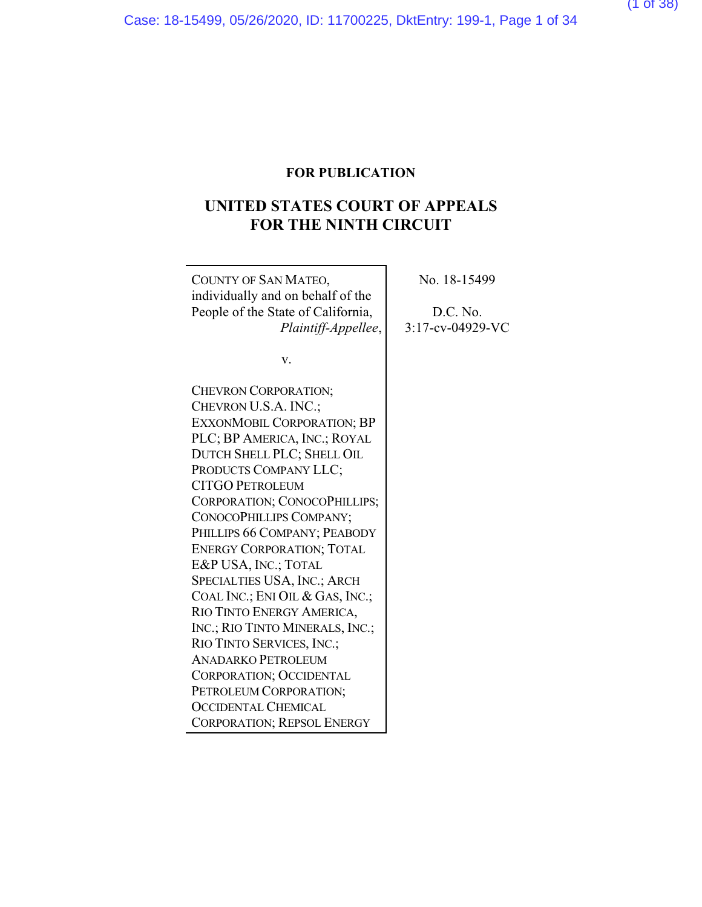## **UNITED STATES COURT OF APPEALS FOR THE NINTH CIRCUIT**

 $\overline{\phantom{0}}$ 

| COUNTY OF SAN MATEO,                                | No. 18-15499        |
|-----------------------------------------------------|---------------------|
| individually and on behalf of the                   |                     |
| People of the State of California,                  | D.C. No.            |
| Plaintiff-Appellee,                                 | $3:17$ -cv-04929-VC |
|                                                     |                     |
| V.                                                  |                     |
|                                                     |                     |
| <b>CHEVRON CORPORATION;</b><br>CHEVRON U.S.A. INC.; |                     |
|                                                     |                     |
| <b>EXXONMOBIL CORPORATION; BP</b>                   |                     |
| PLC; BP AMERICA, INC.; ROYAL                        |                     |
| DUTCH SHELL PLC; SHELL OIL                          |                     |
| PRODUCTS COMPANY LLC;                               |                     |
| <b>CITGO PETROLEUM</b>                              |                     |
| CORPORATION; CONOCOPHILLIPS;                        |                     |
| CONOCOPHILLIPS COMPANY;                             |                     |
| PHILLIPS 66 COMPANY; PEABODY                        |                     |
| <b>ENERGY CORPORATION; TOTAL</b>                    |                     |
| E&P USA, INC.; TOTAL                                |                     |
| <b>SPECIALTIES USA, INC.; ARCH</b>                  |                     |
| COAL INC.; ENI OIL & GAS, INC.;                     |                     |
| RIO TINTO ENERGY AMERICA,                           |                     |
| INC.; RIO TINTO MINERALS, INC.;                     |                     |
| RIO TINTO SERVICES, INC.;                           |                     |
| <b>ANADARKO PETROLEUM</b>                           |                     |
| CORPORATION; OCCIDENTAL                             |                     |
| PETROLEUM CORPORATION;                              |                     |
| <b>OCCIDENTAL CHEMICAL</b>                          |                     |
| <b>CORPORATION; REPSOL ENERGY</b>                   |                     |

(1 of 38)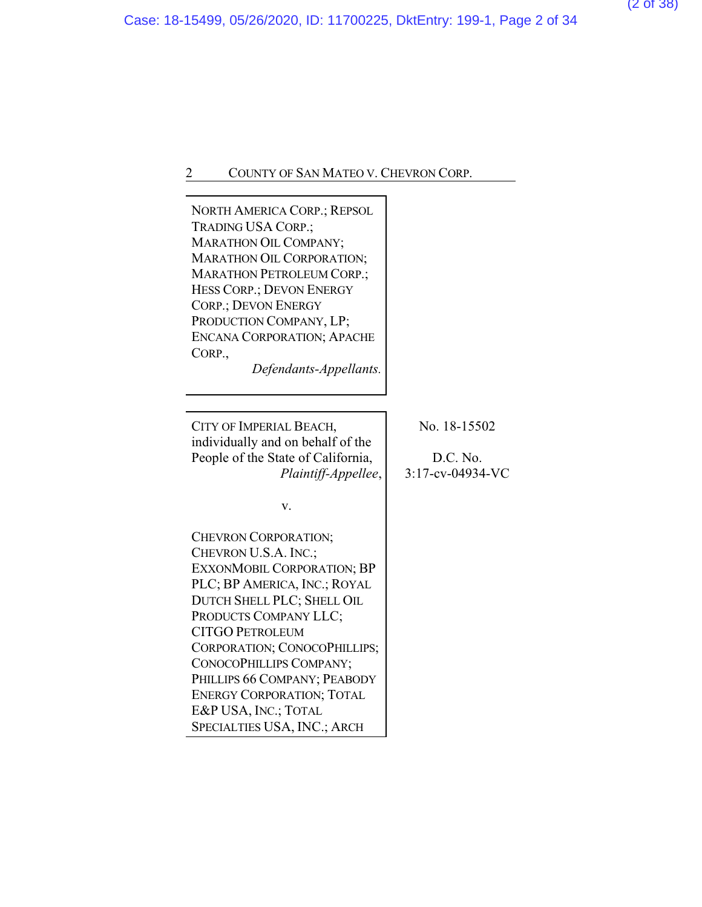| <b>NORTH AMERICA CORP.; REPSOL</b><br>TRADING USA CORP.;<br>MARATHON OIL COMPANY;<br><b>MARATHON OIL CORPORATION;</b><br><b>MARATHON PETROLEUM CORP.;</b><br>HESS CORP.; DEVON ENERGY<br><b>CORP.; DEVON ENERGY</b><br>PRODUCTION COMPANY, LP;<br><b>ENCANA CORPORATION; APACHE</b><br>CORP.,<br>Defendants-Appellants.                                                                               |                                              |
|-------------------------------------------------------------------------------------------------------------------------------------------------------------------------------------------------------------------------------------------------------------------------------------------------------------------------------------------------------------------------------------------------------|----------------------------------------------|
| CITY OF IMPERIAL BEACH,<br>individually and on behalf of the<br>People of the State of California,<br>Plaintiff-Appellee,                                                                                                                                                                                                                                                                             | No. 18-15502<br>D.C. No.<br>3:17-cv-04934-VC |
| v.<br><b>CHEVRON CORPORATION;</b><br>CHEVRON U.S.A. INC.;<br><b>EXXONMOBIL CORPORATION; BP</b><br>PLC; BP AMERICA, INC.; ROYAL<br>DUTCH SHELL PLC; SHELL OIL<br>PRODUCTS COMPANY LLC;<br><b>CITGO PETROLEUM</b><br>CORPORATION; CONOCOPHILLIPS;<br>CONOCOPHILLIPS COMPANY;<br>PHILLIPS 66 COMPANY; PEABODY<br><b>ENERGY CORPORATION; TOTAL</b><br>E&P USA, INC.; TOTAL<br>SPECIALTIES USA, INC.; ARCH |                                              |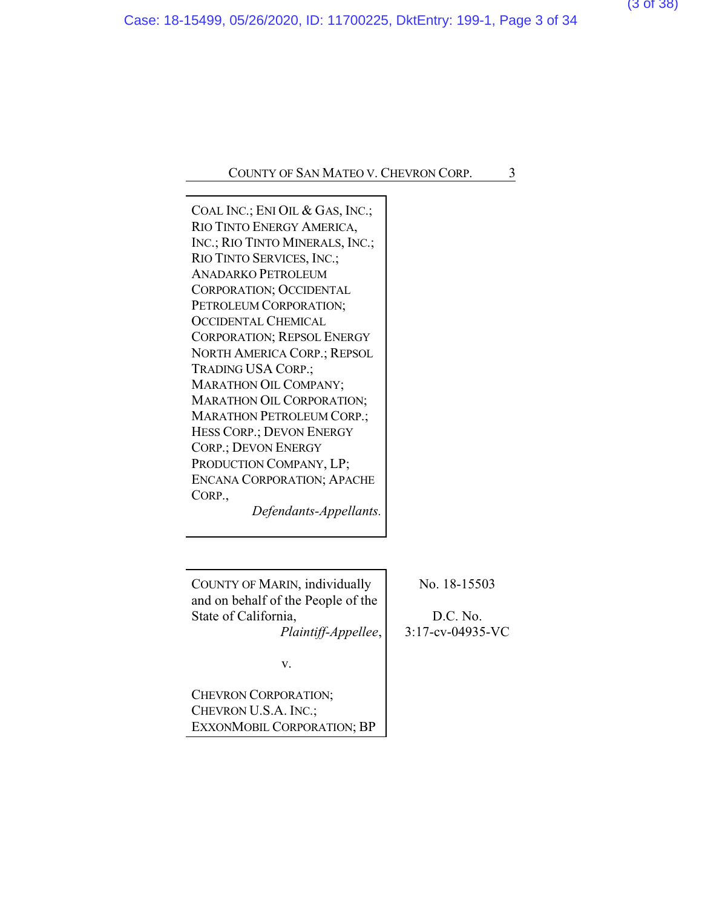COAL INC.; ENI OIL & GAS, INC.; RIO TINTO ENERGY AMERICA, INC.; RIO TINTO MINERALS, INC.; RIO TINTO SERVICES, INC.; ANADARKO PETROLEUM CORPORATION; OCCIDENTAL PETROLEUM CORPORATION; OCCIDENTAL CHEMICAL CORPORATION; REPSOL ENERGY NORTH AMERICA CORP.; REPSOL TRADING USA CORP.; MARATHON OIL COMPANY; MARATHON OIL CORPORATION; MARATHON PETROLEUM CORP.; HESS CORP.; DEVON ENERGY CORP.; DEVON ENERGY PRODUCTION COMPANY, LP; ENCANA CORPORATION; APACHE CORP.,

*Defendants-Appellants.*

COUNTY OF MARIN, individually and on behalf of the People of the State of California,

*Plaintiff-Appellee*,

No. 18-15503

D.C. No. 3:17-cv-04935-VC

v.

CHEVRON CORPORATION; CHEVRON U.S.A. INC.; EXXONMOBIL CORPORATION; BP (3 of 38)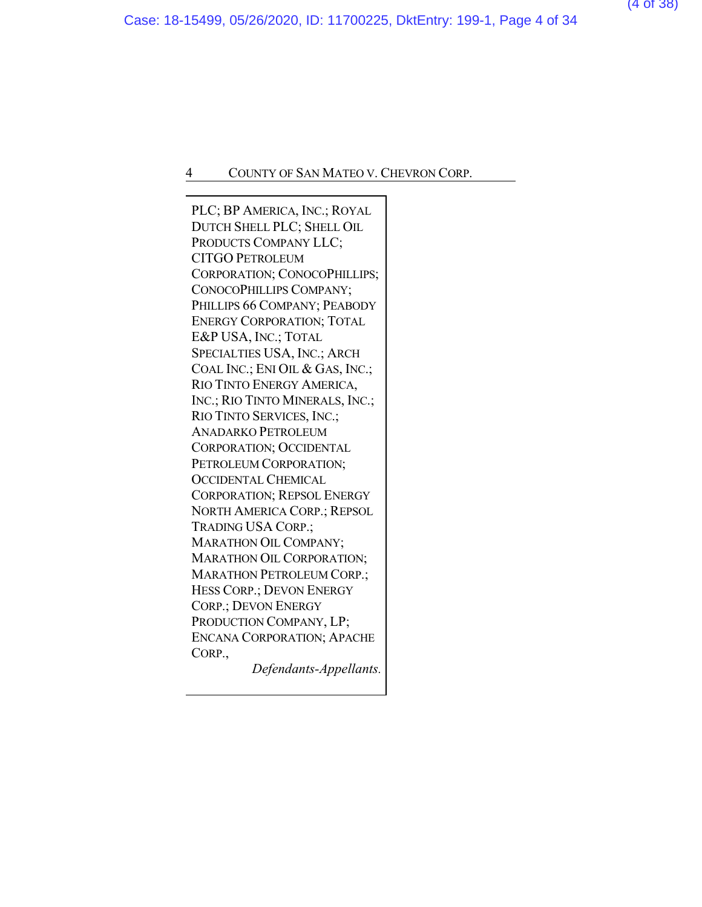PLC; BP AMERICA, INC.; ROYAL DUTCH SHELL PLC; SHELL OIL PRODUCTS COMPANY LLC; CITGO PETROLEUM CORPORATION; CONOCOPHILLIPS; CONOCOPHILLIPS COMPANY; PHILLIPS 66 COMPANY; PEABODY ENERGY CORPORATION; TOTAL E&P USA, INC.; TOTAL SPECIALTIES USA, INC.; ARCH COAL INC.; ENI OIL & GAS, INC.; RIO TINTO ENERGY AMERICA, INC.; RIO TINTO MINERALS, INC.; RIO TINTO SERVICES, INC.; ANADARKO PETROLEUM CORPORATION; OCCIDENTAL PETROLEUM CORPORATION; OCCIDENTAL CHEMICAL CORPORATION; REPSOL ENERGY NORTH AMERICA CORP.; REPSOL TRADING USA CORP.; MARATHON OIL COMPANY; MARATHON OIL CORPORATION; MARATHON PETROLEUM CORP.; HESS CORP.; DEVON ENERGY CORP.; DEVON ENERGY PRODUCTION COMPANY, LP; ENCANA CORPORATION; APACHE CORP.,

*Defendants-Appellants.*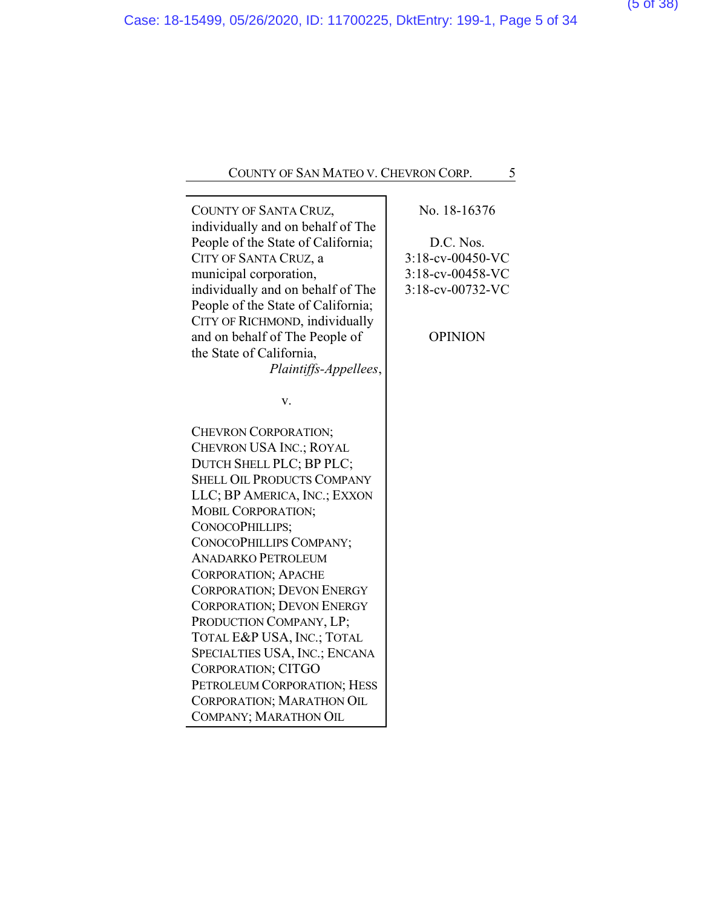| COUNTY OF SANTA CRUZ,              | No. 18-16376        |
|------------------------------------|---------------------|
| individually and on behalf of The  |                     |
| People of the State of California; | D.C. Nos.           |
| CITY OF SANTA CRUZ, a              | 3:18-cv-00450-VC    |
| municipal corporation,             | $3:18$ -cv-00458-VC |
| individually and on behalf of The  | 3:18-cv-00732-VC    |
| People of the State of California; |                     |
| CITY OF RICHMOND, individually     |                     |
| and on behalf of The People of     | <b>OPINION</b>      |
| the State of California,           |                     |
| Plaintiffs-Appellees,              |                     |
| v.                                 |                     |
|                                    |                     |
| CHEVRON CORPORATION;               |                     |
| CHEVRON USA INC.; ROYAL            |                     |
| DUTCH SHELL PLC; BP PLC;           |                     |
| <b>SHELL OIL PRODUCTS COMPANY</b>  |                     |
| LLC; BP AMERICA, INC.; EXXON       |                     |
| MOBIL CORPORATION;                 |                     |
| CONOCOPHILLIPS;                    |                     |
| CONOCOPHILLIPS COMPANY;            |                     |
| <b>ANADARKO PETROLEUM</b>          |                     |
| <b>CORPORATION; APACHE</b>         |                     |
| <b>CORPORATION; DEVON ENERGY</b>   |                     |
| <b>CORPORATION; DEVON ENERGY</b>   |                     |
| PRODUCTION COMPANY, LP;            |                     |
| TOTAL E&P USA, INC.; TOTAL         |                     |
| SPECIALTIES USA, INC.; ENCANA      |                     |
| CORPORATION; CITGO                 |                     |
| PETROLEUM CORPORATION; HESS        |                     |
| <b>CORPORATION; MARATHON OIL</b>   |                     |
| COMPANY; MARATHON OIL              |                     |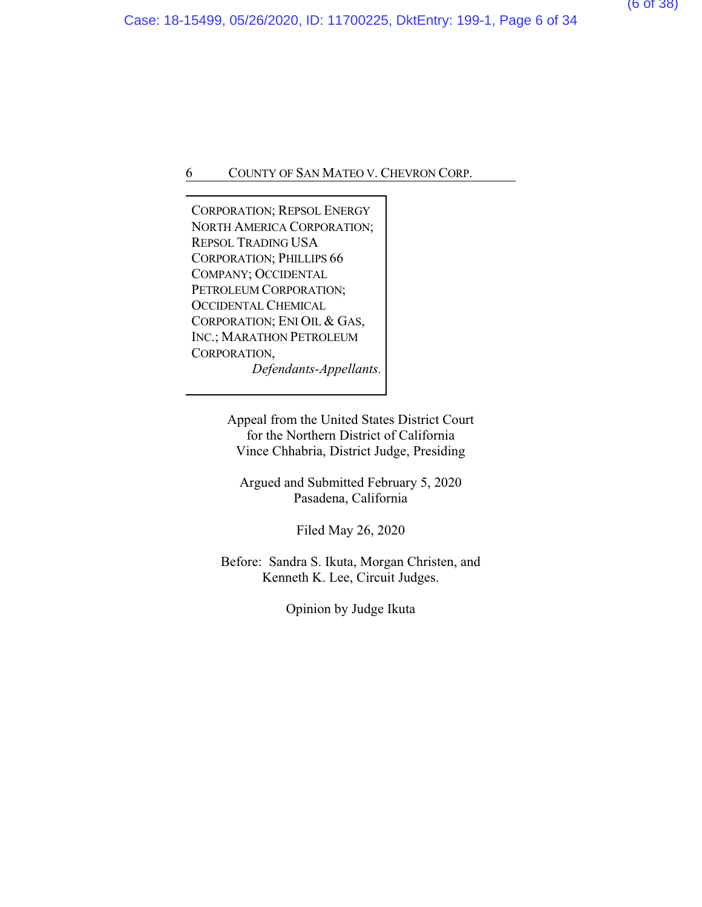CORPORATION; REPSOL ENERGY NORTH AMERICA CORPORATION; REPSOL TRADING USA CORPORATION; PHILLIPS 66 COMPANY; OCCIDENTAL PETROLEUM CORPORATION; OCCIDENTAL CHEMICAL CORPORATION; ENI OIL & GAS, INC.; MARATHON PETROLEUM CORPORATION, *Defendants-Appellants.*

> Appeal from the United States District Court for the Northern District of California Vince Chhabria, District Judge, Presiding

Argued and Submitted February 5, 2020 Pasadena, California

Filed May 26, 2020

Before: Sandra S. Ikuta, Morgan Christen, and Kenneth K. Lee, Circuit Judges.

Opinion by Judge Ikuta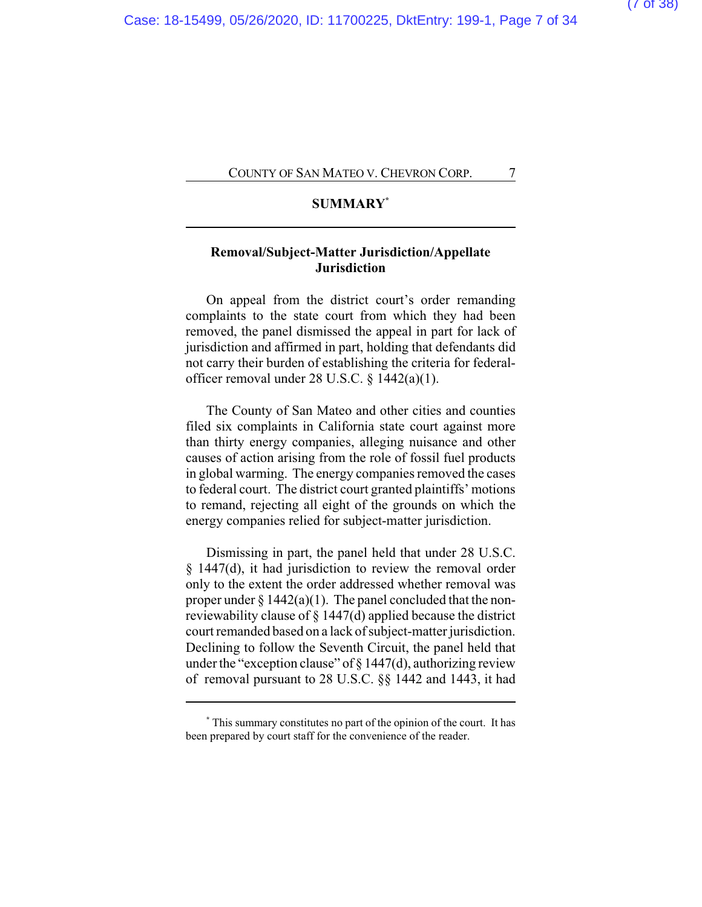### **SUMMARY\***

## **Removal/Subject-Matter Jurisdiction/Appellate Jurisdiction**

On appeal from the district court's order remanding complaints to the state court from which they had been removed, the panel dismissed the appeal in part for lack of jurisdiction and affirmed in part, holding that defendants did not carry their burden of establishing the criteria for federalofficer removal under 28 U.S.C. § 1442(a)(1).

The County of San Mateo and other cities and counties filed six complaints in California state court against more than thirty energy companies, alleging nuisance and other causes of action arising from the role of fossil fuel products in global warming. The energy companies removed the cases to federal court. The district court granted plaintiffs' motions to remand, rejecting all eight of the grounds on which the energy companies relied for subject-matter jurisdiction.

Dismissing in part, the panel held that under 28 U.S.C. § 1447(d), it had jurisdiction to review the removal order only to the extent the order addressed whether removal was proper under  $\S 1442(a)(1)$ . The panel concluded that the nonreviewability clause of § 1447(d) applied because the district court remanded based on a lack of subject-matter jurisdiction. Declining to follow the Seventh Circuit, the panel held that under the "exception clause" of  $\S 1447(d)$ , authorizing review of removal pursuant to 28 U.S.C. §§ 1442 and 1443, it had

**<sup>\*</sup>** This summary constitutes no part of the opinion of the court. It has been prepared by court staff for the convenience of the reader.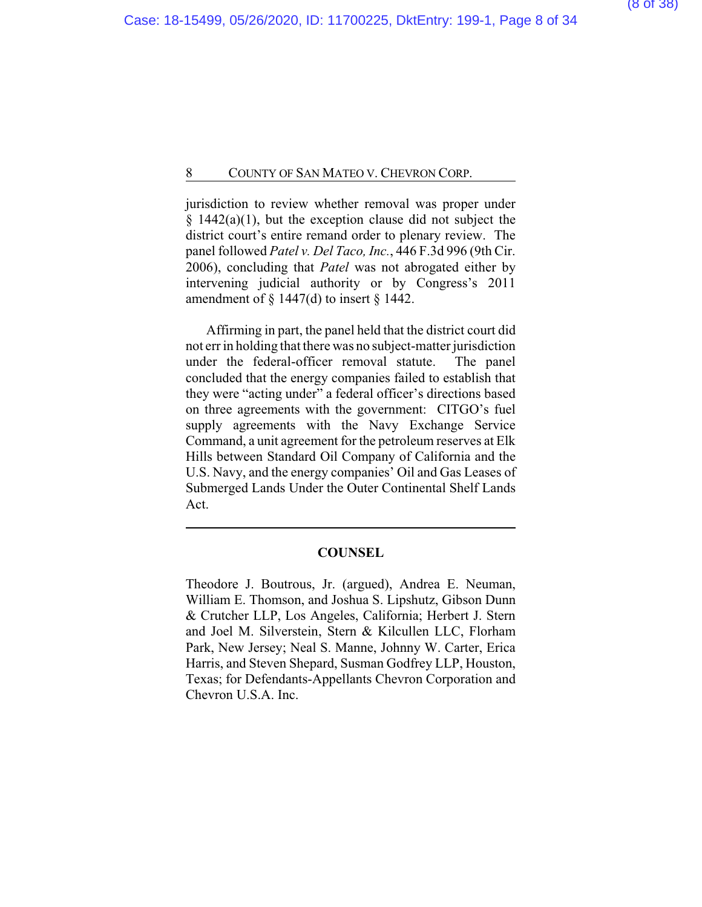jurisdiction to review whether removal was proper under  $§$  1442(a)(1), but the exception clause did not subject the district court's entire remand order to plenary review. The panel followed *Patel v. Del Taco, Inc.*, 446 F.3d 996 (9th Cir. 2006), concluding that *Patel* was not abrogated either by intervening judicial authority or by Congress's 2011 amendment of  $\S$  1447(d) to insert  $\S$  1442.

Affirming in part, the panel held that the district court did not err in holding that there was no subject-matter jurisdiction under the federal-officer removal statute. The panel concluded that the energy companies failed to establish that they were "acting under" a federal officer's directions based on three agreements with the government: CITGO's fuel supply agreements with the Navy Exchange Service Command, a unit agreement for the petroleum reserves at Elk Hills between Standard Oil Company of California and the U.S. Navy, and the energy companies' Oil and Gas Leases of Submerged Lands Under the Outer Continental Shelf Lands Act.

#### **COUNSEL**

Theodore J. Boutrous, Jr. (argued), Andrea E. Neuman, William E. Thomson, and Joshua S. Lipshutz, Gibson Dunn & Crutcher LLP, Los Angeles, California; Herbert J. Stern and Joel M. Silverstein, Stern & Kilcullen LLC, Florham Park, New Jersey; Neal S. Manne, Johnny W. Carter, Erica Harris, and Steven Shepard, Susman Godfrey LLP, Houston, Texas; for Defendants-Appellants Chevron Corporation and Chevron U.S.A. Inc.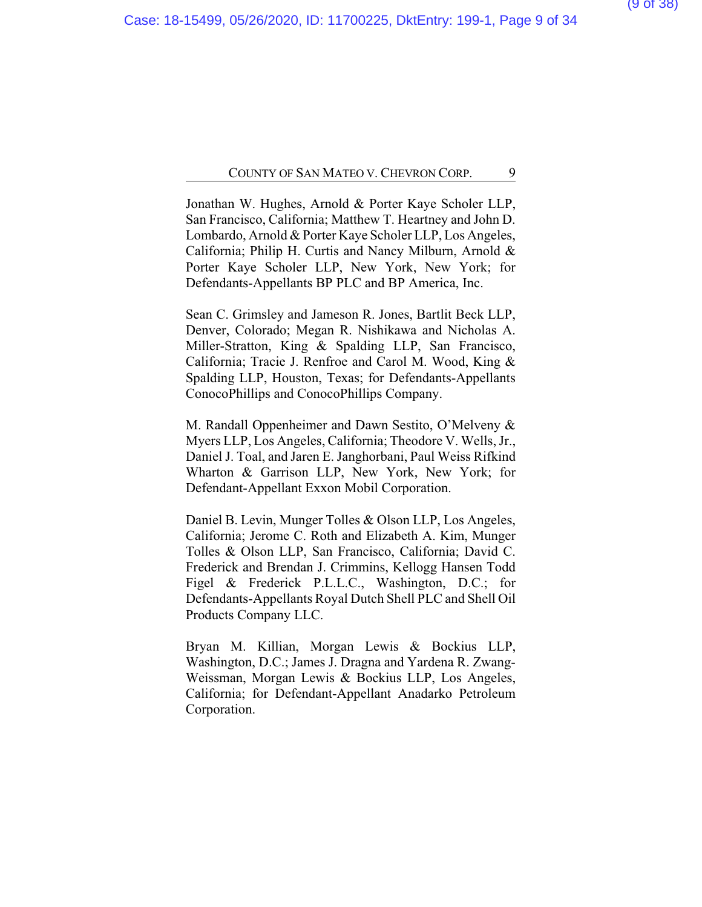Jonathan W. Hughes, Arnold & Porter Kaye Scholer LLP, San Francisco, California; Matthew T. Heartney and John D. Lombardo, Arnold & Porter Kaye Scholer LLP, Los Angeles, California; Philip H. Curtis and Nancy Milburn, Arnold & Porter Kaye Scholer LLP, New York, New York; for Defendants-Appellants BP PLC and BP America, Inc.

Sean C. Grimsley and Jameson R. Jones, Bartlit Beck LLP, Denver, Colorado; Megan R. Nishikawa and Nicholas A. Miller-Stratton, King & Spalding LLP, San Francisco, California; Tracie J. Renfroe and Carol M. Wood, King & Spalding LLP, Houston, Texas; for Defendants-Appellants ConocoPhillips and ConocoPhillips Company.

M. Randall Oppenheimer and Dawn Sestito, O'Melveny & Myers LLP, Los Angeles, California; Theodore V. Wells, Jr., Daniel J. Toal, and Jaren E. Janghorbani, Paul Weiss Rifkind Wharton & Garrison LLP, New York, New York; for Defendant-Appellant Exxon Mobil Corporation.

Daniel B. Levin, Munger Tolles & Olson LLP, Los Angeles, California; Jerome C. Roth and Elizabeth A. Kim, Munger Tolles & Olson LLP, San Francisco, California; David C. Frederick and Brendan J. Crimmins, Kellogg Hansen Todd Figel & Frederick P.L.L.C., Washington, D.C.; for Defendants-Appellants Royal Dutch Shell PLC and Shell Oil Products Company LLC.

Bryan M. Killian, Morgan Lewis & Bockius LLP, Washington, D.C.; James J. Dragna and Yardena R. Zwang-Weissman, Morgan Lewis & Bockius LLP, Los Angeles, California; for Defendant-Appellant Anadarko Petroleum Corporation.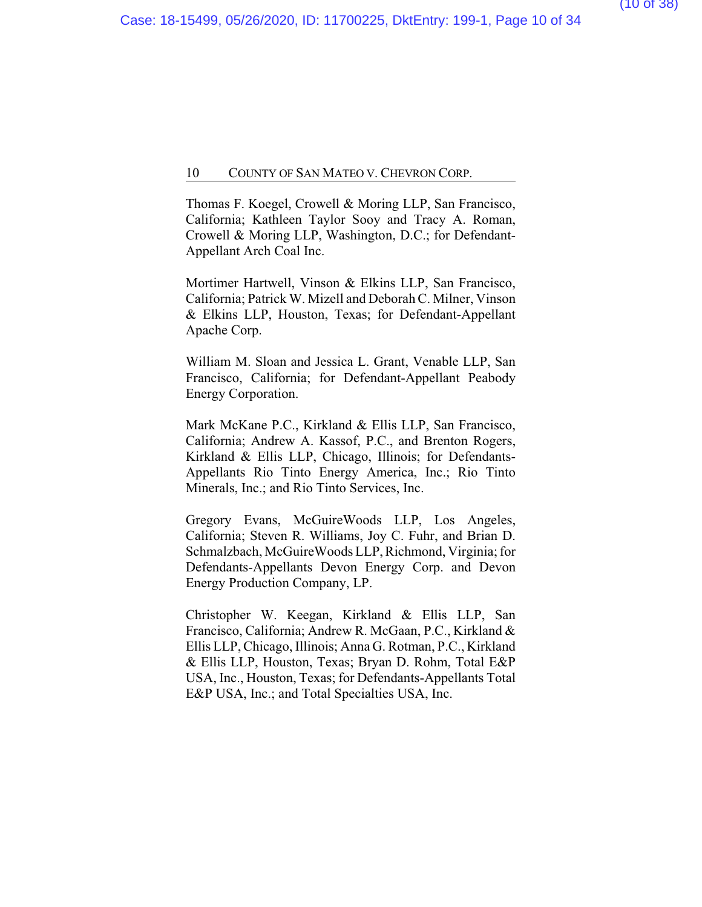Thomas F. Koegel, Crowell & Moring LLP, San Francisco, California; Kathleen Taylor Sooy and Tracy A. Roman, Crowell & Moring LLP, Washington, D.C.; for Defendant-Appellant Arch Coal Inc.

Mortimer Hartwell, Vinson & Elkins LLP, San Francisco, California; Patrick W. Mizell and Deborah C. Milner, Vinson & Elkins LLP, Houston, Texas; for Defendant-Appellant Apache Corp.

William M. Sloan and Jessica L. Grant, Venable LLP, San Francisco, California; for Defendant-Appellant Peabody Energy Corporation.

Mark McKane P.C., Kirkland & Ellis LLP, San Francisco, California; Andrew A. Kassof, P.C., and Brenton Rogers, Kirkland & Ellis LLP, Chicago, Illinois; for Defendants-Appellants Rio Tinto Energy America, Inc.; Rio Tinto Minerals, Inc.; and Rio Tinto Services, Inc.

Gregory Evans, McGuireWoods LLP, Los Angeles, California; Steven R. Williams, Joy C. Fuhr, and Brian D. Schmalzbach, McGuireWoods LLP, Richmond, Virginia; for Defendants-Appellants Devon Energy Corp. and Devon Energy Production Company, LP.

Christopher W. Keegan, Kirkland & Ellis LLP, San Francisco, California; Andrew R. McGaan, P.C., Kirkland & Ellis LLP, Chicago, Illinois; Anna G. Rotman, P.C., Kirkland & Ellis LLP, Houston, Texas; Bryan D. Rohm, Total E&P USA, Inc., Houston, Texas; for Defendants-Appellants Total E&P USA, Inc.; and Total Specialties USA, Inc.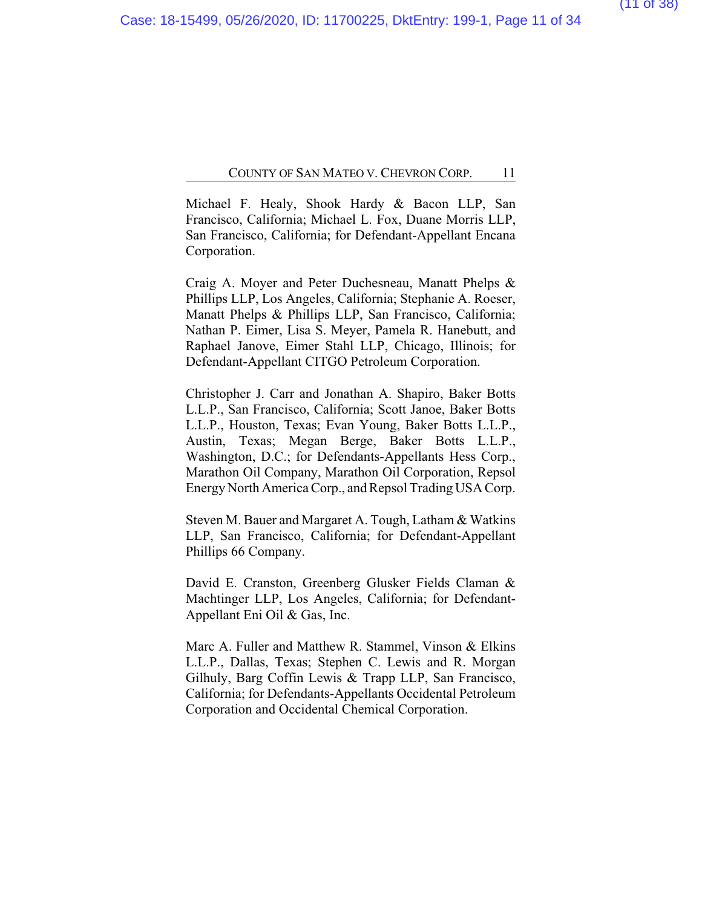Michael F. Healy, Shook Hardy & Bacon LLP, San Francisco, California; Michael L. Fox, Duane Morris LLP, San Francisco, California; for Defendant-Appellant Encana Corporation.

Craig A. Moyer and Peter Duchesneau, Manatt Phelps & Phillips LLP, Los Angeles, California; Stephanie A. Roeser, Manatt Phelps & Phillips LLP, San Francisco, California; Nathan P. Eimer, Lisa S. Meyer, Pamela R. Hanebutt, and Raphael Janove, Eimer Stahl LLP, Chicago, Illinois; for Defendant-Appellant CITGO Petroleum Corporation.

Christopher J. Carr and Jonathan A. Shapiro, Baker Botts L.L.P., San Francisco, California; Scott Janoe, Baker Botts L.L.P., Houston, Texas; Evan Young, Baker Botts L.L.P., Austin, Texas; Megan Berge, Baker Botts L.L.P., Washington, D.C.; for Defendants-Appellants Hess Corp., Marathon Oil Company, Marathon Oil Corporation, Repsol Energy North America Corp., and Repsol Trading USA Corp.

Steven M. Bauer and Margaret A. Tough, Latham & Watkins LLP, San Francisco, California; for Defendant-Appellant Phillips 66 Company.

David E. Cranston, Greenberg Glusker Fields Claman & Machtinger LLP, Los Angeles, California; for Defendant-Appellant Eni Oil & Gas, Inc.

Marc A. Fuller and Matthew R. Stammel, Vinson & Elkins L.L.P., Dallas, Texas; Stephen C. Lewis and R. Morgan Gilhuly, Barg Coffin Lewis & Trapp LLP, San Francisco, California; for Defendants-Appellants Occidental Petroleum Corporation and Occidental Chemical Corporation.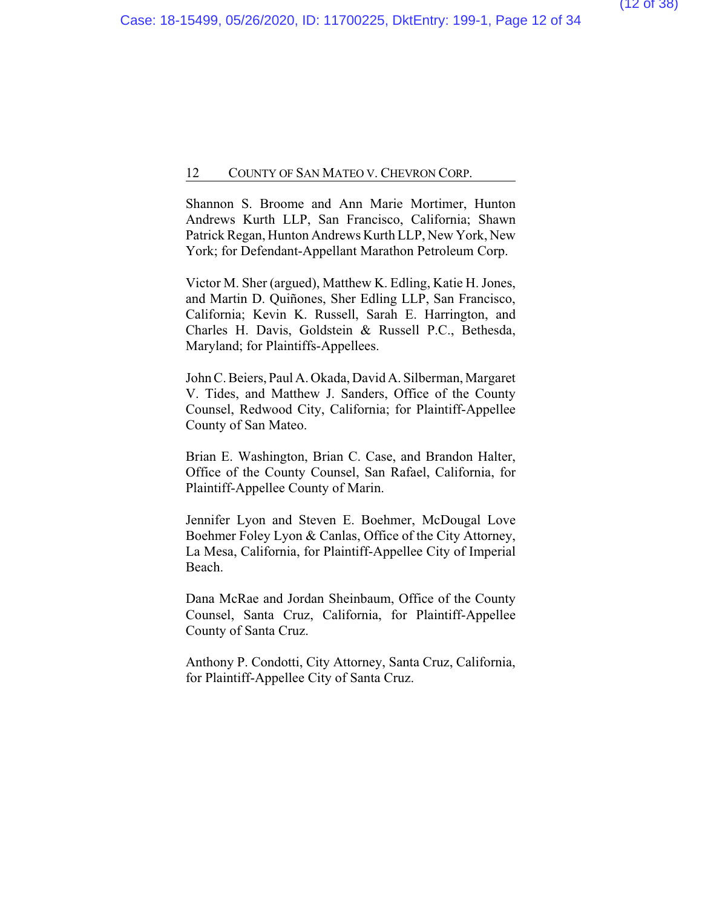Shannon S. Broome and Ann Marie Mortimer, Hunton Andrews Kurth LLP, San Francisco, California; Shawn Patrick Regan, Hunton Andrews Kurth LLP, New York, New York; for Defendant-Appellant Marathon Petroleum Corp.

Victor M. Sher (argued), Matthew K. Edling, Katie H. Jones, and Martin D. Quiñones, Sher Edling LLP, San Francisco, California; Kevin K. Russell, Sarah E. Harrington, and Charles H. Davis, Goldstein & Russell P.C., Bethesda, Maryland; for Plaintiffs-Appellees.

John C.Beiers, Paul A. Okada, David A. Silberman, Margaret V. Tides, and Matthew J. Sanders, Office of the County Counsel, Redwood City, California; for Plaintiff-Appellee County of San Mateo.

Brian E. Washington, Brian C. Case, and Brandon Halter, Office of the County Counsel, San Rafael, California, for Plaintiff-Appellee County of Marin.

Jennifer Lyon and Steven E. Boehmer, McDougal Love Boehmer Foley Lyon & Canlas, Office of the City Attorney, La Mesa, California, for Plaintiff-Appellee City of Imperial Beach.

Dana McRae and Jordan Sheinbaum, Office of the County Counsel, Santa Cruz, California, for Plaintiff-Appellee County of Santa Cruz.

Anthony P. Condotti, City Attorney, Santa Cruz, California, for Plaintiff-Appellee City of Santa Cruz.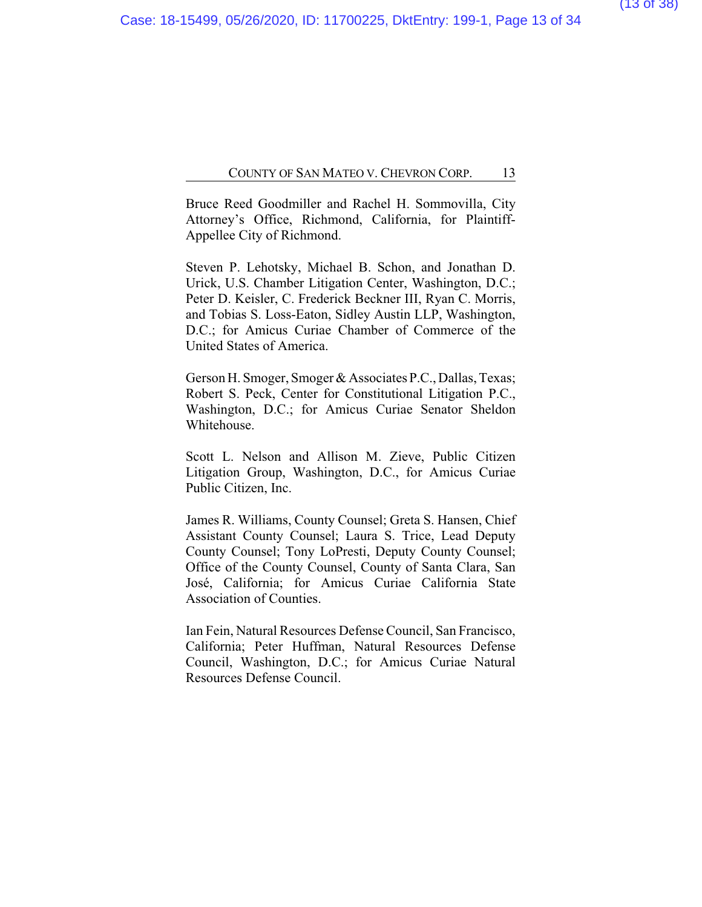Bruce Reed Goodmiller and Rachel H. Sommovilla, City Attorney's Office, Richmond, California, for Plaintiff-Appellee City of Richmond.

Steven P. Lehotsky, Michael B. Schon, and Jonathan D. Urick, U.S. Chamber Litigation Center, Washington, D.C.; Peter D. Keisler, C. Frederick Beckner III, Ryan C. Morris, and Tobias S. Loss-Eaton, Sidley Austin LLP, Washington, D.C.; for Amicus Curiae Chamber of Commerce of the United States of America.

Gerson H. Smoger, Smoger & Associates P.C., Dallas, Texas; Robert S. Peck, Center for Constitutional Litigation P.C., Washington, D.C.; for Amicus Curiae Senator Sheldon Whitehouse.

Scott L. Nelson and Allison M. Zieve, Public Citizen Litigation Group, Washington, D.C., for Amicus Curiae Public Citizen, Inc.

James R. Williams, County Counsel; Greta S. Hansen, Chief Assistant County Counsel; Laura S. Trice, Lead Deputy County Counsel; Tony LoPresti, Deputy County Counsel; Office of the County Counsel, County of Santa Clara, San José, California; for Amicus Curiae California State Association of Counties.

Ian Fein, Natural Resources Defense Council, San Francisco, California; Peter Huffman, Natural Resources Defense Council, Washington, D.C.; for Amicus Curiae Natural Resources Defense Council.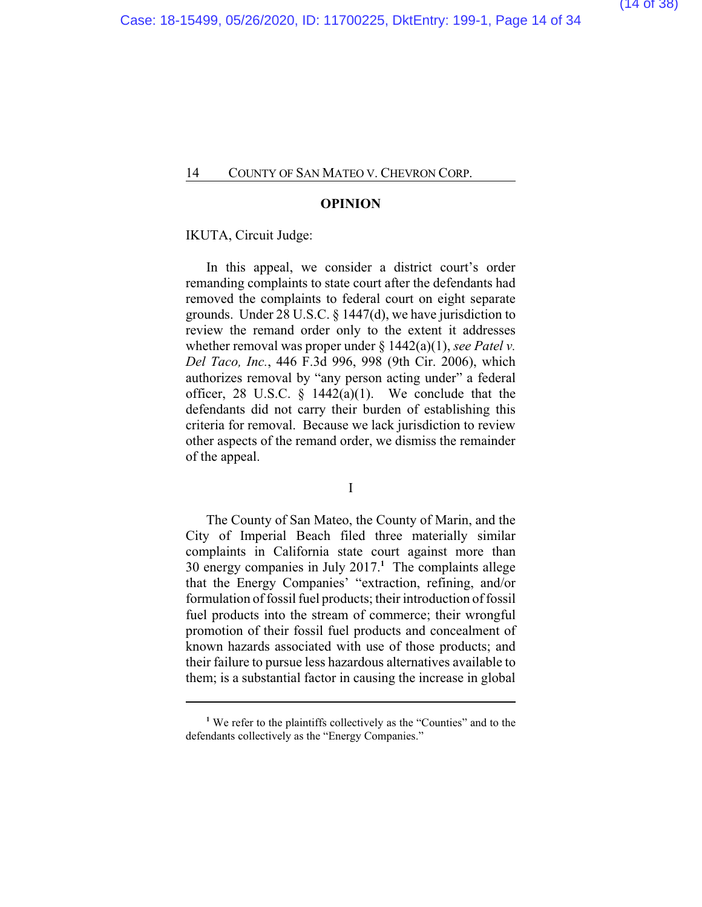#### **OPINION**

#### IKUTA, Circuit Judge:

In this appeal, we consider a district court's order remanding complaints to state court after the defendants had removed the complaints to federal court on eight separate grounds. Under 28 U.S.C. § 1447(d), we have jurisdiction to review the remand order only to the extent it addresses whether removal was proper under § 1442(a)(1), *see Patel v. Del Taco, Inc.*, 446 F.3d 996, 998 (9th Cir. 2006), which authorizes removal by "any person acting under" a federal officer, 28 U.S.C.  $\S$  1442(a)(1). We conclude that the defendants did not carry their burden of establishing this criteria for removal. Because we lack jurisdiction to review other aspects of the remand order, we dismiss the remainder of the appeal.

I

The County of San Mateo, the County of Marin, and the City of Imperial Beach filed three materially similar complaints in California state court against more than 30 energy companies in July 2017.**<sup>1</sup>** The complaints allege that the Energy Companies' "extraction, refining, and/or formulation of fossil fuel products; their introduction of fossil fuel products into the stream of commerce; their wrongful promotion of their fossil fuel products and concealment of known hazards associated with use of those products; and their failure to pursue less hazardous alternatives available to them; is a substantial factor in causing the increase in global

**<sup>1</sup>** We refer to the plaintiffs collectively as the "Counties" and to the defendants collectively as the "Energy Companies."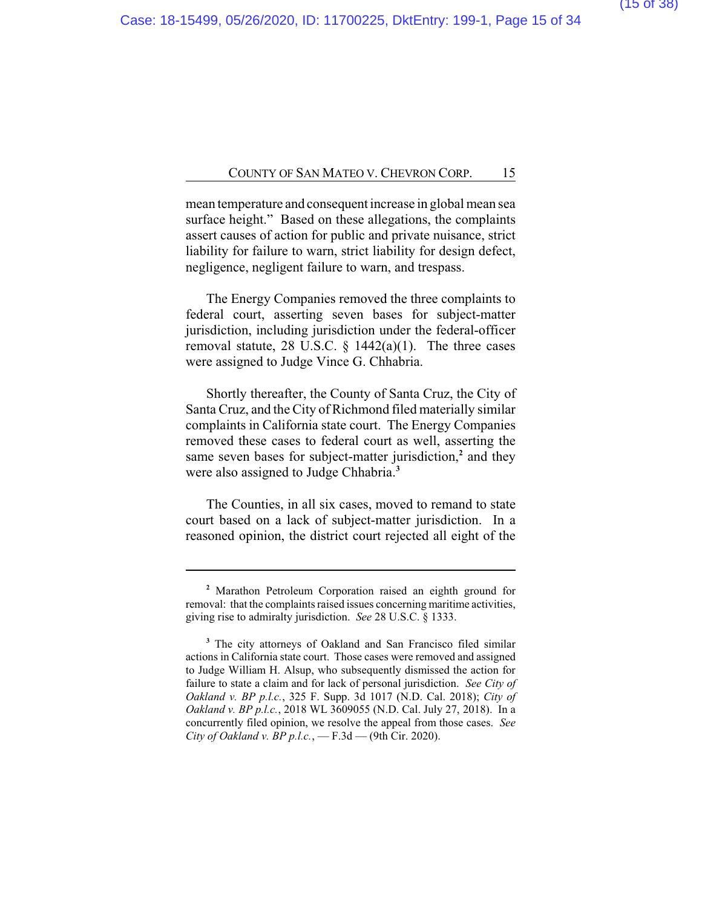mean temperature and consequent increase in global mean sea surface height." Based on these allegations, the complaints assert causes of action for public and private nuisance, strict liability for failure to warn, strict liability for design defect, negligence, negligent failure to warn, and trespass.

The Energy Companies removed the three complaints to federal court, asserting seven bases for subject-matter jurisdiction, including jurisdiction under the federal-officer removal statute, 28 U.S.C.  $\S$  1442(a)(1). The three cases were assigned to Judge Vince G. Chhabria.

Shortly thereafter, the County of Santa Cruz, the City of Santa Cruz, and the City of Richmond filed materially similar complaints in California state court. The Energy Companies removed these cases to federal court as well, asserting the same seven bases for subject-matter jurisdiction,**<sup>2</sup>** and they were also assigned to Judge Chhabria.**<sup>3</sup>**

The Counties, in all six cases, moved to remand to state court based on a lack of subject-matter jurisdiction. In a reasoned opinion, the district court rejected all eight of the

**<sup>2</sup>** Marathon Petroleum Corporation raised an eighth ground for removal: that the complaints raised issues concerning maritime activities, giving rise to admiralty jurisdiction. *See* 28 U.S.C. § 1333.

**<sup>3</sup>** The city attorneys of Oakland and San Francisco filed similar actions in California state court. Those cases were removed and assigned to Judge William H. Alsup, who subsequently dismissed the action for failure to state a claim and for lack of personal jurisdiction. *See City of Oakland v. BP p.l.c.*, 325 F. Supp. 3d 1017 (N.D. Cal. 2018); *City of Oakland v. BP p.l.c.*, 2018 WL 3609055 (N.D. Cal. July 27, 2018). In a concurrently filed opinion, we resolve the appeal from those cases. *See City of Oakland v. BP p.l.c.*, — F.3d — (9th Cir. 2020).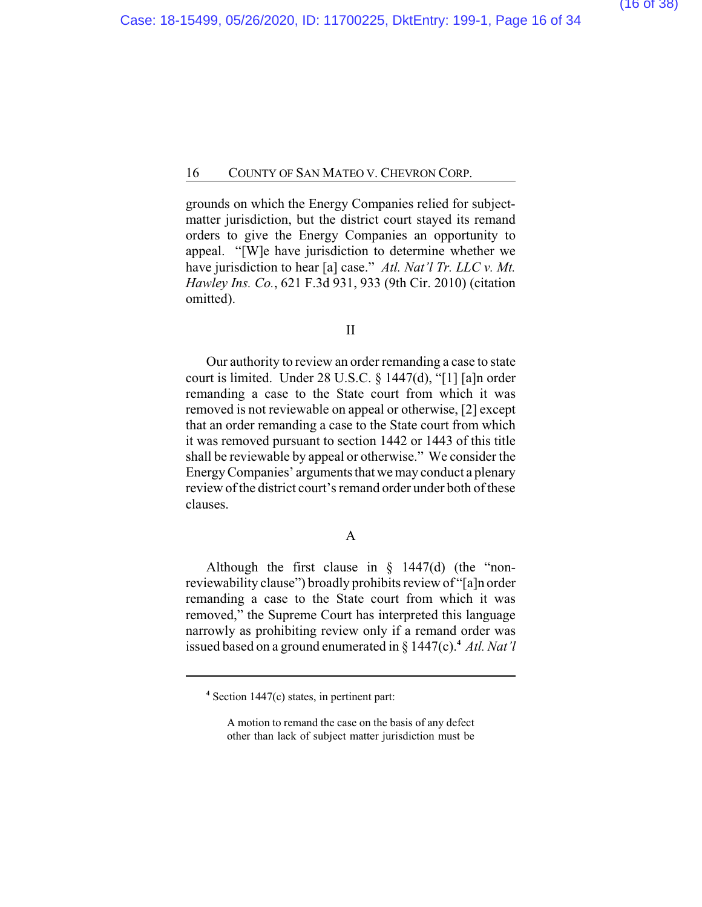grounds on which the Energy Companies relied for subjectmatter jurisdiction, but the district court stayed its remand orders to give the Energy Companies an opportunity to appeal. "[W]e have jurisdiction to determine whether we have jurisdiction to hear [a] case." *Atl. Nat'l Tr. LLC v. Mt. Hawley Ins. Co.*, 621 F.3d 931, 933 (9th Cir. 2010) (citation omitted).

#### II

Our authority to review an order remanding a case to state court is limited. Under 28 U.S.C. § 1447(d), "[1] [a]n order remanding a case to the State court from which it was removed is not reviewable on appeal or otherwise, [2] except that an order remanding a case to the State court from which it was removed pursuant to section 1442 or 1443 of this title shall be reviewable by appeal or otherwise." We consider the Energy Companies' arguments that we may conduct a plenary review of the district court's remand order under both of these clauses.

### A

Although the first clause in  $\S$  1447(d) (the "nonreviewability clause") broadly prohibits review of "[a]n order remanding a case to the State court from which it was removed," the Supreme Court has interpreted this language narrowly as prohibiting review only if a remand order was issued based on a ground enumerated in § 1447(c).**<sup>4</sup>** *Atl. Nat'l*

**<sup>4</sup>** Section 1447(c) states, in pertinent part:

A motion to remand the case on the basis of any defect other than lack of subject matter jurisdiction must be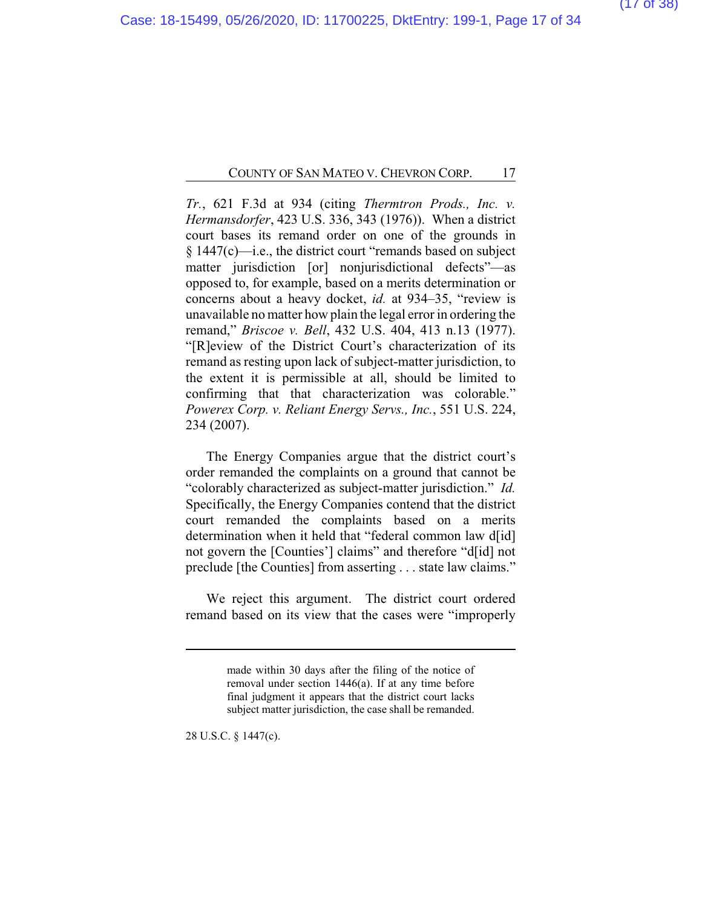*Tr.*, 621 F.3d at 934 (citing *Thermtron Prods., Inc. v. Hermansdorfer*, 423 U.S. 336, 343 (1976)). When a district court bases its remand order on one of the grounds in § 1447(c)—i.e., the district court "remands based on subject matter jurisdiction [or] nonjurisdictional defects"—as opposed to, for example, based on a merits determination or concerns about a heavy docket, *id.* at 934–35, "review is unavailable no matter how plain the legal error in ordering the remand," *Briscoe v. Bell*, 432 U.S. 404, 413 n.13 (1977). "[R]eview of the District Court's characterization of its remand as resting upon lack of subject-matter jurisdiction, to the extent it is permissible at all, should be limited to confirming that that characterization was colorable." *Powerex Corp. v. Reliant Energy Servs., Inc.*, 551 U.S. 224, 234 (2007).

The Energy Companies argue that the district court's order remanded the complaints on a ground that cannot be "colorably characterized as subject-matter jurisdiction." *Id.* Specifically, the Energy Companies contend that the district court remanded the complaints based on a merits determination when it held that "federal common law d[id] not govern the [Counties'] claims" and therefore "d[id] not preclude [the Counties] from asserting . . . state law claims."

We reject this argument. The district court ordered remand based on its view that the cases were "improperly

28 U.S.C. § 1447(c).

made within 30 days after the filing of the notice of removal under section 1446(a). If at any time before final judgment it appears that the district court lacks subject matter jurisdiction, the case shall be remanded.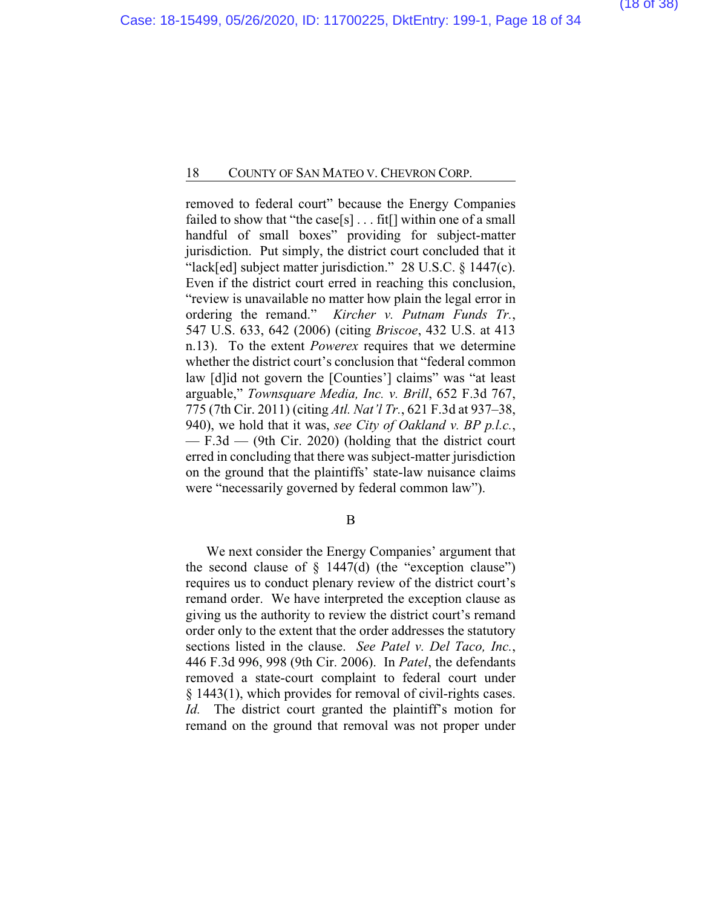removed to federal court" because the Energy Companies failed to show that "the case[s]  $\dots$  fit[] within one of a small handful of small boxes" providing for subject-matter jurisdiction. Put simply, the district court concluded that it "lack[ed] subject matter jurisdiction." 28 U.S.C. § 1447(c). Even if the district court erred in reaching this conclusion, "review is unavailable no matter how plain the legal error in ordering the remand." *Kircher v. Putnam Funds Tr.*, 547 U.S. 633, 642 (2006) (citing *Briscoe*, 432 U.S. at 413 n.13). To the extent *Powerex* requires that we determine whether the district court's conclusion that "federal common law [d]id not govern the [Counties'] claims" was "at least arguable," *Townsquare Media, Inc. v. Brill*, 652 F.3d 767, 775 (7th Cir. 2011) (citing *Atl. Nat'l Tr.*, 621 F.3d at 937–38, 940), we hold that it was, *see City of Oakland v. BP p.l.c.*, — F.3d — (9th Cir. 2020) (holding that the district court erred in concluding that there was subject-matter jurisdiction on the ground that the plaintiffs' state-law nuisance claims were "necessarily governed by federal common law").

#### B

We next consider the Energy Companies' argument that the second clause of  $\S$  1447(d) (the "exception clause") requires us to conduct plenary review of the district court's remand order. We have interpreted the exception clause as giving us the authority to review the district court's remand order only to the extent that the order addresses the statutory sections listed in the clause. *See Patel v. Del Taco, Inc.*, 446 F.3d 996, 998 (9th Cir. 2006). In *Patel*, the defendants removed a state-court complaint to federal court under § 1443(1), which provides for removal of civil-rights cases. *Id.* The district court granted the plaintiff's motion for remand on the ground that removal was not proper under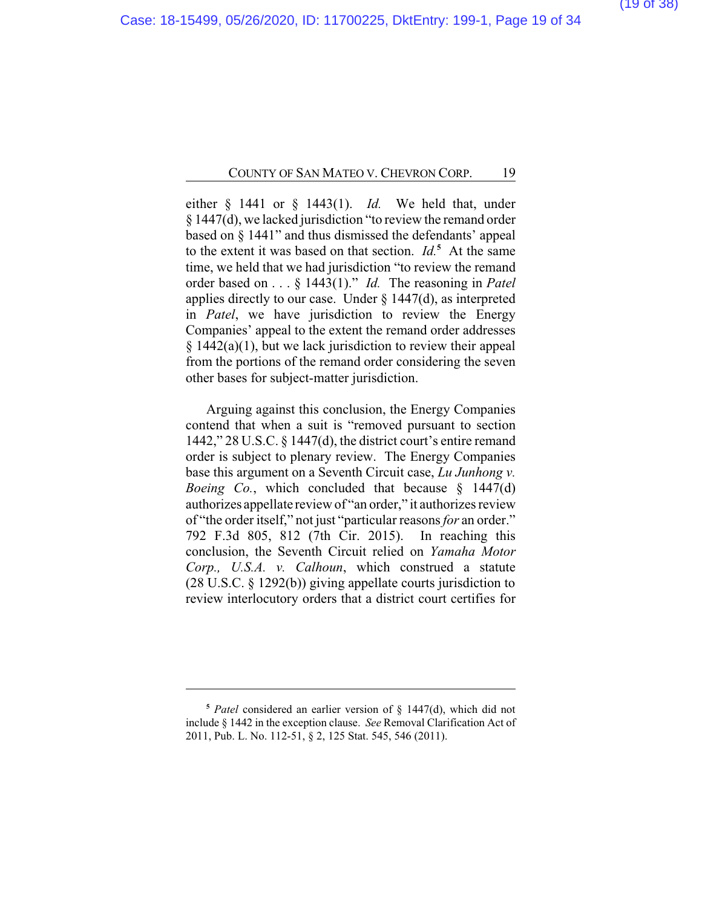either § 1441 or § 1443(1). *Id.* We held that, under § 1447(d), we lacked jurisdiction "to review the remand order based on § 1441" and thus dismissed the defendants' appeal to the extent it was based on that section. *Id.***<sup>5</sup>** At the same time, we held that we had jurisdiction "to review the remand order based on . . . § 1443(1)." *Id.* The reasoning in *Patel* applies directly to our case. Under § 1447(d), as interpreted in *Patel*, we have jurisdiction to review the Energy Companies' appeal to the extent the remand order addresses  $§$  1442(a)(1), but we lack jurisdiction to review their appeal from the portions of the remand order considering the seven other bases for subject-matter jurisdiction.

Arguing against this conclusion, the Energy Companies contend that when a suit is "removed pursuant to section 1442," 28 U.S.C. § 1447(d), the district court's entire remand order is subject to plenary review. The Energy Companies base this argument on a Seventh Circuit case, *Lu Junhong v. Boeing Co.*, which concluded that because § 1447(d) authorizes appellate review of "an order," it authorizes review of "the order itself," not just "particular reasons *for* an order." 792 F.3d 805, 812 (7th Cir. 2015). In reaching this conclusion, the Seventh Circuit relied on *Yamaha Motor Corp., U.S.A. v. Calhoun*, which construed a statute (28 U.S.C. § 1292(b)) giving appellate courts jurisdiction to review interlocutory orders that a district court certifies for

**<sup>5</sup>** *Patel* considered an earlier version of § 1447(d), which did not include § 1442 in the exception clause. *See* Removal Clarification Act of 2011, Pub. L. No. 112-51, § 2, 125 Stat. 545, 546 (2011).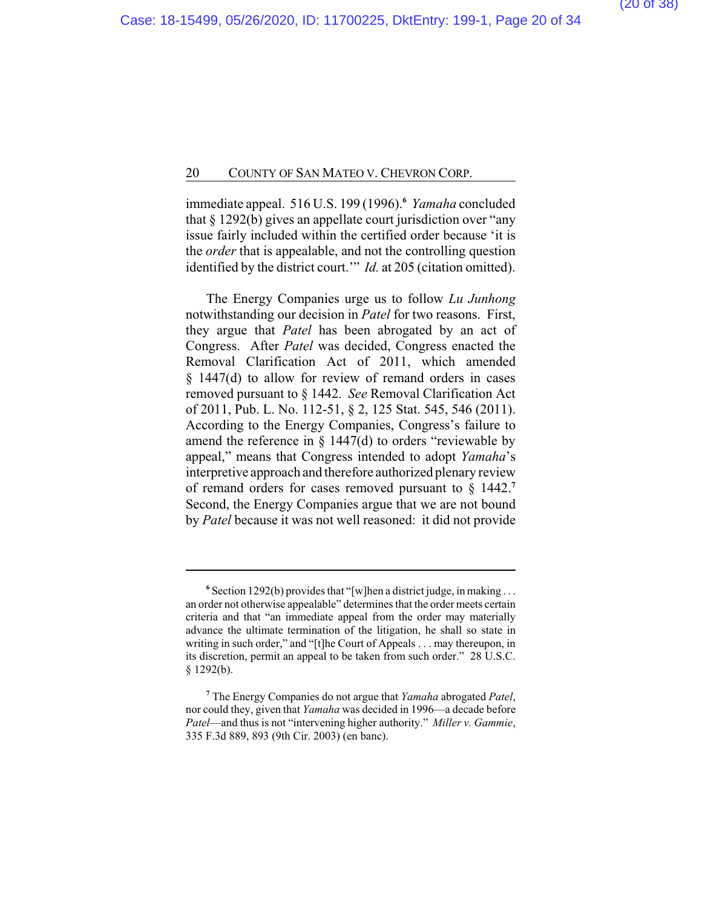immediate appeal. 516 U.S. 199 (1996).**<sup>6</sup>** *Yamaha* concluded that § 1292(b) gives an appellate court jurisdiction over "any issue fairly included within the certified order because 'it is the *order* that is appealable, and not the controlling question identified by the district court.'" *Id.* at 205 (citation omitted).

The Energy Companies urge us to follow *Lu Junhong* notwithstanding our decision in *Patel* for two reasons. First, they argue that *Patel* has been abrogated by an act of Congress. After *Patel* was decided, Congress enacted the Removal Clarification Act of 2011, which amended § 1447(d) to allow for review of remand orders in cases removed pursuant to § 1442. *See* Removal Clarification Act of 2011, Pub. L. No. 112-51, § 2, 125 Stat. 545, 546 (2011). According to the Energy Companies, Congress's failure to amend the reference in  $\S$  1447(d) to orders "reviewable by appeal," means that Congress intended to adopt *Yamaha*'s interpretive approach and therefore authorized plenary review of remand orders for cases removed pursuant to § 1442.**<sup>7</sup>** Second, the Energy Companies argue that we are not bound by *Patel* because it was not well reasoned: it did not provide

**<sup>6</sup>** Section 1292(b) provides that "[w]hen a district judge, in making . . . an order not otherwise appealable" determines that the order meets certain criteria and that "an immediate appeal from the order may materially advance the ultimate termination of the litigation, he shall so state in writing in such order," and "[t]he Court of Appeals . . . may thereupon, in its discretion, permit an appeal to be taken from such order." 28 U.S.C.  $§$  1292(b).

**<sup>7</sup>** The Energy Companies do not argue that *Yamaha* abrogated *Patel*, nor could they, given that *Yamaha* was decided in 1996—a decade before *Patel*—and thus is not "intervening higher authority." *Miller v. Gammie*, 335 F.3d 889, 893 (9th Cir. 2003) (en banc).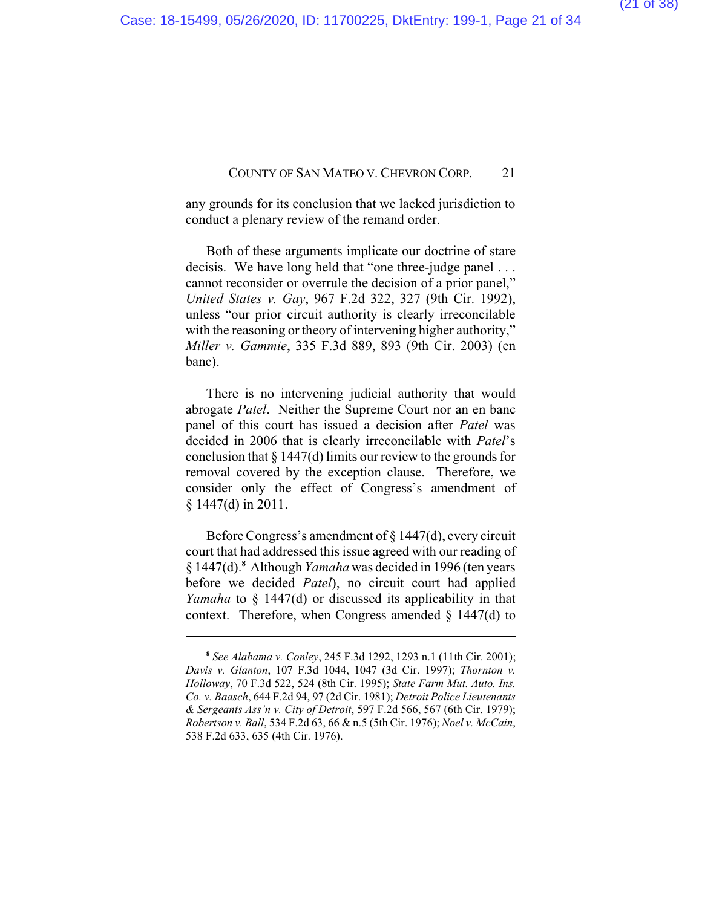any grounds for its conclusion that we lacked jurisdiction to conduct a plenary review of the remand order.

Both of these arguments implicate our doctrine of stare decisis. We have long held that "one three-judge panel . . . cannot reconsider or overrule the decision of a prior panel," *United States v. Gay*, 967 F.2d 322, 327 (9th Cir. 1992), unless "our prior circuit authority is clearly irreconcilable with the reasoning or theory of intervening higher authority," *Miller v. Gammie*, 335 F.3d 889, 893 (9th Cir. 2003) (en banc).

There is no intervening judicial authority that would abrogate *Patel*. Neither the Supreme Court nor an en banc panel of this court has issued a decision after *Patel* was decided in 2006 that is clearly irreconcilable with *Patel*'s conclusion that  $\S 1447(d)$  limits our review to the grounds for removal covered by the exception clause. Therefore, we consider only the effect of Congress's amendment of § 1447(d) in 2011.

Before Congress's amendment of § 1447(d), every circuit court that had addressed this issue agreed with our reading of § 1447(d).**<sup>8</sup>** Although *Yamaha* was decided in 1996 (ten years before we decided *Patel*), no circuit court had applied *Yamaha* to § 1447(d) or discussed its applicability in that context. Therefore, when Congress amended  $\S$  1447(d) to

**<sup>8</sup>** *See Alabama v. Conley*, 245 F.3d 1292, 1293 n.1 (11th Cir. 2001); *Davis v. Glanton*, 107 F.3d 1044, 1047 (3d Cir. 1997); *Thornton v. Holloway*, 70 F.3d 522, 524 (8th Cir. 1995); *State Farm Mut. Auto. Ins. Co. v. Baasch*, 644 F.2d 94, 97 (2d Cir. 1981); *Detroit Police Lieutenants & Sergeants Ass'n v. City of Detroit*, 597 F.2d 566, 567 (6th Cir. 1979); *Robertson v. Ball*, 534 F.2d 63, 66 & n.5 (5th Cir. 1976); *Noel v. McCain*, 538 F.2d 633, 635 (4th Cir. 1976).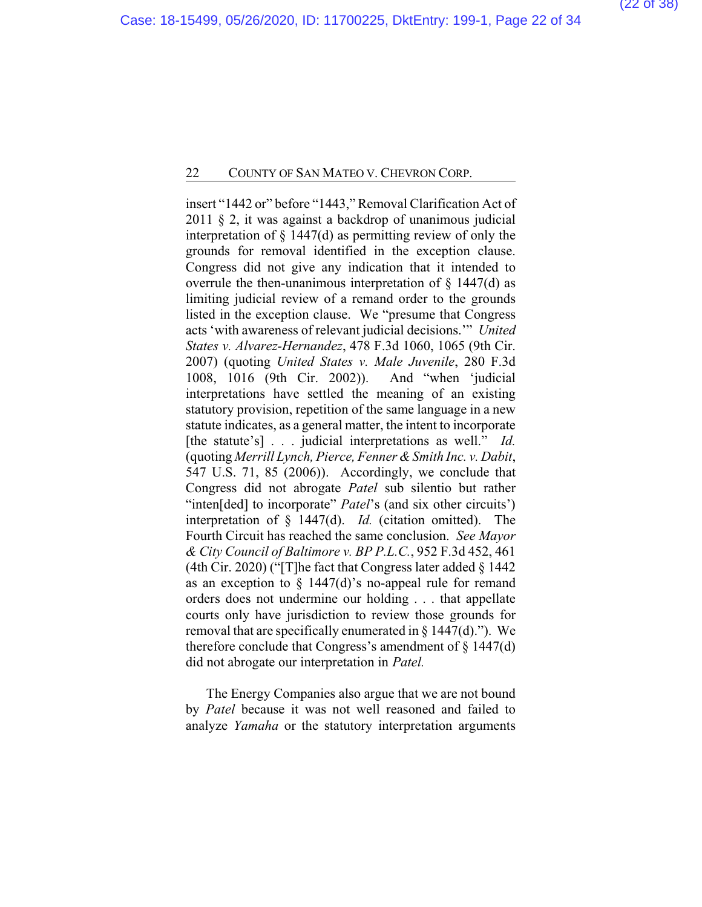insert "1442 or" before "1443," Removal Clarification Act of 2011 § 2, it was against a backdrop of unanimous judicial interpretation of § 1447(d) as permitting review of only the grounds for removal identified in the exception clause. Congress did not give any indication that it intended to overrule the then-unanimous interpretation of  $\S$  1447(d) as limiting judicial review of a remand order to the grounds listed in the exception clause. We "presume that Congress acts 'with awareness of relevant judicial decisions.'" *United States v. Alvarez-Hernandez*, 478 F.3d 1060, 1065 (9th Cir. 2007) (quoting *United States v. Male Juvenile*, 280 F.3d 1008, 1016 (9th Cir. 2002)). And "when 'judicial interpretations have settled the meaning of an existing statutory provision, repetition of the same language in a new statute indicates, as a general matter, the intent to incorporate [the statute's] . . . judicial interpretations as well." *Id.* (quoting *Merrill Lynch, Pierce, Fenner & Smith Inc. v. Dabit*, 547 U.S. 71, 85 (2006)). Accordingly, we conclude that Congress did not abrogate *Patel* sub silentio but rather "inten[ded] to incorporate" *Patel*'s (and six other circuits') interpretation of § 1447(d). *Id.* (citation omitted). The Fourth Circuit has reached the same conclusion. *See Mayor & City Council of Baltimore v. BP P.L.C.*, 952 F.3d 452, 461 (4th Cir. 2020) ("[T]he fact that Congress later added § 1442 as an exception to  $\S$  1447(d)'s no-appeal rule for remand orders does not undermine our holding . . . that appellate courts only have jurisdiction to review those grounds for removal that are specifically enumerated in  $\S$  1447(d)."). We therefore conclude that Congress's amendment of  $\S 1447(d)$ did not abrogate our interpretation in *Patel.*

The Energy Companies also argue that we are not bound by *Patel* because it was not well reasoned and failed to analyze *Yamaha* or the statutory interpretation arguments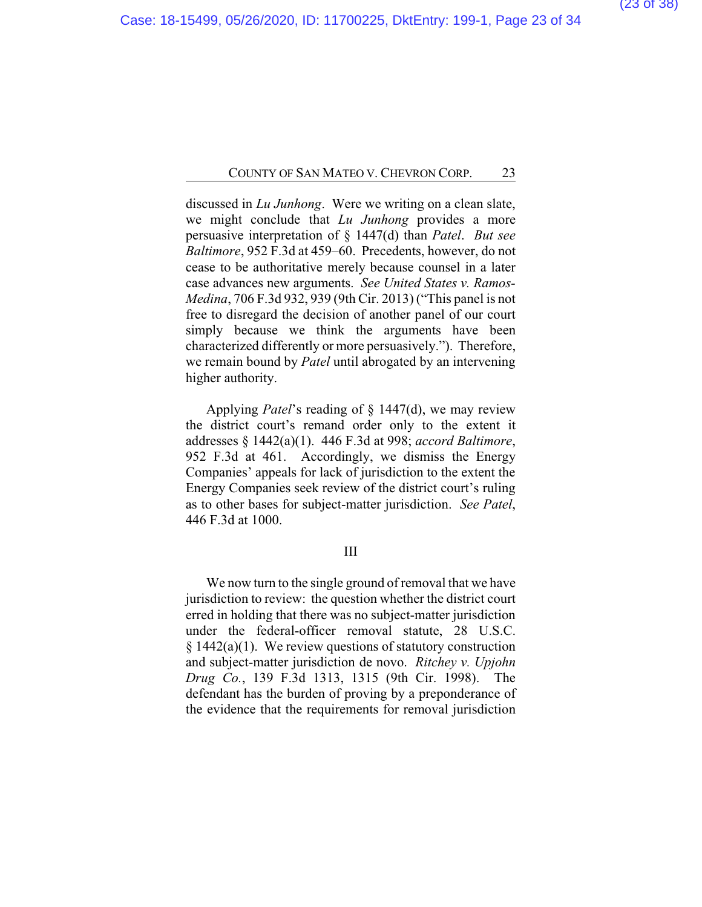discussed in *Lu Junhong*. Were we writing on a clean slate, we might conclude that *Lu Junhong* provides a more persuasive interpretation of § 1447(d) than *Patel*. *But see Baltimore*, 952 F.3d at 459–60. Precedents, however, do not cease to be authoritative merely because counsel in a later case advances new arguments. *See United States v. Ramos-Medina*, 706 F.3d 932, 939 (9th Cir. 2013) ("This panel is not free to disregard the decision of another panel of our court simply because we think the arguments have been characterized differently or more persuasively."). Therefore, we remain bound by *Patel* until abrogated by an intervening higher authority.

Applying *Patel*'s reading of § 1447(d), we may review the district court's remand order only to the extent it addresses § 1442(a)(1). 446 F.3d at 998; *accord Baltimore*, 952 F.3d at 461. Accordingly, we dismiss the Energy Companies' appeals for lack of jurisdiction to the extent the Energy Companies seek review of the district court's ruling as to other bases for subject-matter jurisdiction. *See Patel*, 446 F.3d at 1000.

### III

We now turn to the single ground of removal that we have jurisdiction to review: the question whether the district court erred in holding that there was no subject-matter jurisdiction under the federal-officer removal statute, 28 U.S.C.  $§ 1442(a)(1)$ . We review questions of statutory construction and subject-matter jurisdiction de novo. *Ritchey v. Upjohn Drug Co.*, 139 F.3d 1313, 1315 (9th Cir. 1998). The defendant has the burden of proving by a preponderance of the evidence that the requirements for removal jurisdiction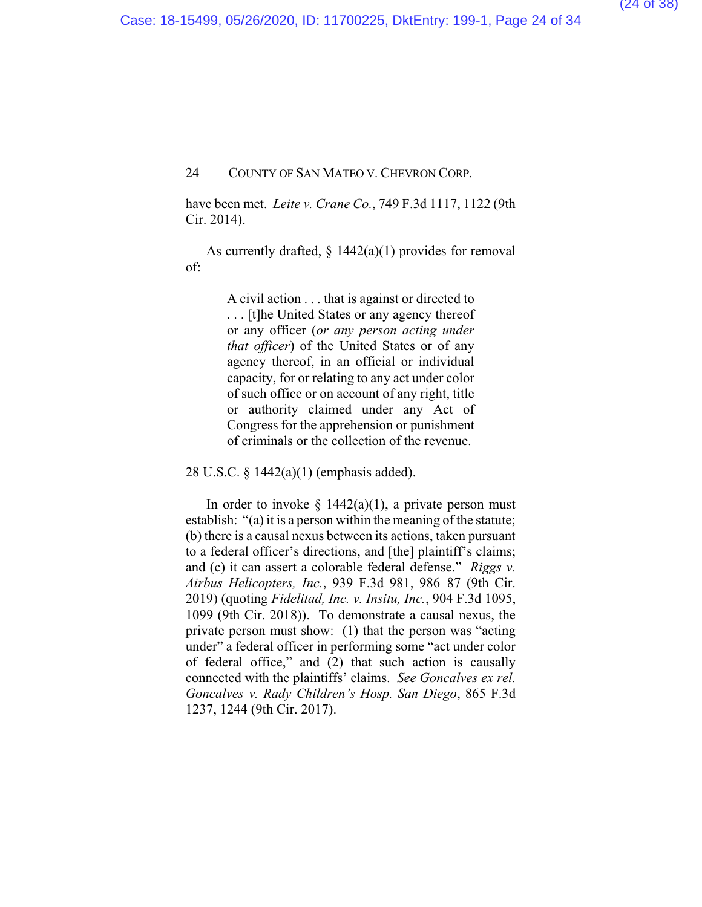have been met. *Leite v. Crane Co.*, 749 F.3d 1117, 1122 (9th Cir. 2014).

As currently drafted,  $\S$  1442(a)(1) provides for removal of:

> A civil action . . . that is against or directed to . . . [t]he United States or any agency thereof or any officer (*or any person acting under that officer*) of the United States or of any agency thereof, in an official or individual capacity, for or relating to any act under color of such office or on account of any right, title or authority claimed under any Act of Congress for the apprehension or punishment of criminals or the collection of the revenue.

28 U.S.C. § 1442(a)(1) (emphasis added).

In order to invoke  $\S$  1442(a)(1), a private person must establish: "(a) it is a person within the meaning of the statute; (b) there is a causal nexus between its actions, taken pursuant to a federal officer's directions, and [the] plaintiff's claims; and (c) it can assert a colorable federal defense." *Riggs v. Airbus Helicopters, Inc.*, 939 F.3d 981, 986–87 (9th Cir. 2019) (quoting *Fidelitad, Inc. v. Insitu, Inc.*, 904 F.3d 1095, 1099 (9th Cir. 2018)). To demonstrate a causal nexus, the private person must show: (1) that the person was "acting under" a federal officer in performing some "act under color of federal office," and (2) that such action is causally connected with the plaintiffs' claims. *See Goncalves ex rel. Goncalves v. Rady Children's Hosp. San Diego*, 865 F.3d 1237, 1244 (9th Cir. 2017).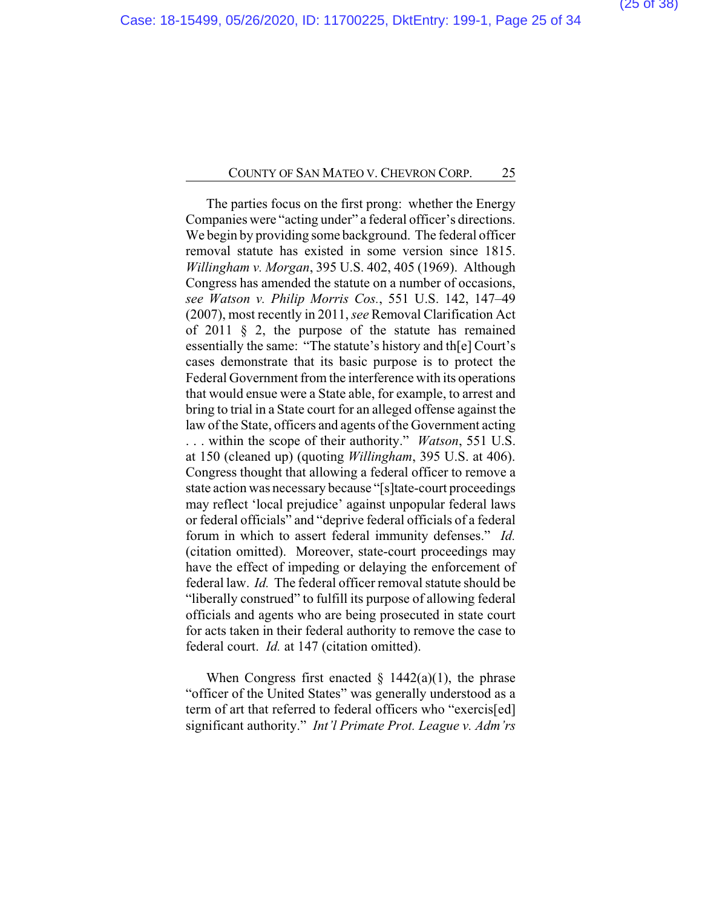The parties focus on the first prong: whether the Energy Companies were "acting under" a federal officer's directions. We begin by providing some background. The federal officer removal statute has existed in some version since 1815. *Willingham v. Morgan*, 395 U.S. 402, 405 (1969). Although Congress has amended the statute on a number of occasions, *see Watson v. Philip Morris Cos.*, 551 U.S. 142, 147–49 (2007), most recently in 2011, *see* Removal Clarification Act of 2011 § 2, the purpose of the statute has remained essentially the same: "The statute's history and th[e] Court's cases demonstrate that its basic purpose is to protect the Federal Government from the interference with its operations that would ensue were a State able, for example, to arrest and bring to trial in a State court for an alleged offense against the law of the State, officers and agents of the Government acting . . . within the scope of their authority." *Watson*, 551 U.S. at 150 (cleaned up) (quoting *Willingham*, 395 U.S. at 406). Congress thought that allowing a federal officer to remove a state action was necessary because "[s]tate-court proceedings may reflect 'local prejudice' against unpopular federal laws or federal officials" and "deprive federal officials of a federal forum in which to assert federal immunity defenses." *Id.* (citation omitted). Moreover, state-court proceedings may have the effect of impeding or delaying the enforcement of federal law. *Id.* The federal officer removal statute should be "liberally construed" to fulfill its purpose of allowing federal officials and agents who are being prosecuted in state court for acts taken in their federal authority to remove the case to federal court. *Id.* at 147 (citation omitted).

When Congress first enacted  $\S$  1442(a)(1), the phrase "officer of the United States" was generally understood as a term of art that referred to federal officers who "exercis[ed] significant authority." *Int'l Primate Prot. League v. Adm'rs*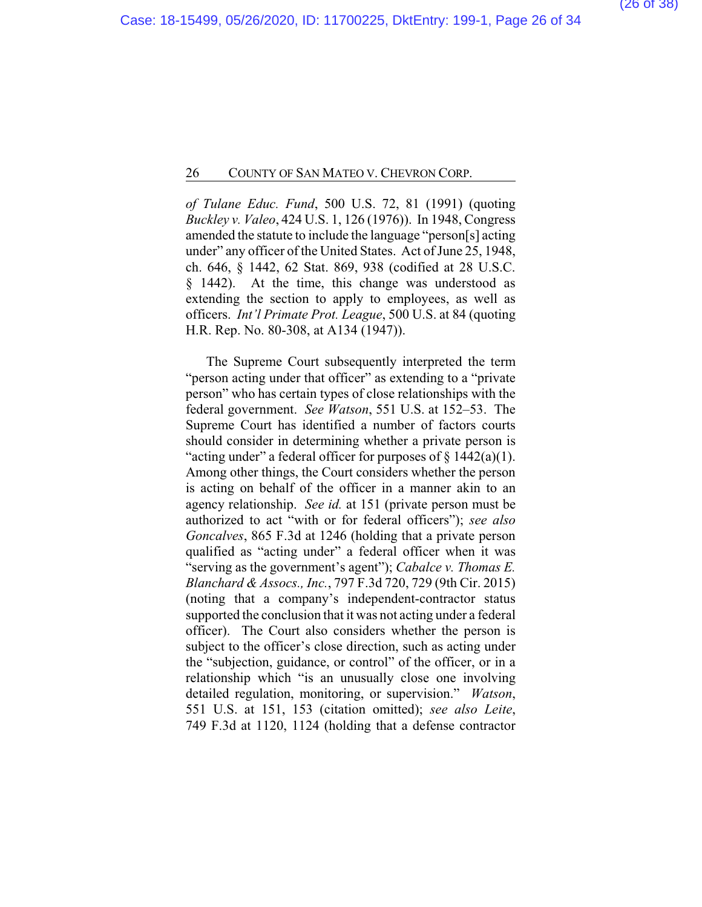*of Tulane Educ. Fund*, 500 U.S. 72, 81 (1991) (quoting *Buckley v. Valeo*, 424 U.S. 1, 126 (1976)). In 1948, Congress amended the statute to include the language "person[s] acting under" any officer of the United States. Act of June 25, 1948, ch. 646, § 1442, 62 Stat. 869, 938 (codified at 28 U.S.C. § 1442). At the time, this change was understood as extending the section to apply to employees, as well as officers. *Int'l Primate Prot. League*, 500 U.S. at 84 (quoting H.R. Rep. No. 80-308, at A134 (1947)).

The Supreme Court subsequently interpreted the term "person acting under that officer" as extending to a "private person" who has certain types of close relationships with the federal government. *See Watson*, 551 U.S. at 152–53. The Supreme Court has identified a number of factors courts should consider in determining whether a private person is "acting under" a federal officer for purposes of  $\S 1442(a)(1)$ . Among other things, the Court considers whether the person is acting on behalf of the officer in a manner akin to an agency relationship. *See id.* at 151 (private person must be authorized to act "with or for federal officers"); *see also Goncalves*, 865 F.3d at 1246 (holding that a private person qualified as "acting under" a federal officer when it was "serving as the government's agent"); *Cabalce v. Thomas E. Blanchard & Assocs., Inc.*, 797 F.3d 720, 729 (9th Cir. 2015) (noting that a company's independent-contractor status supported the conclusion that it was not acting under a federal officer). The Court also considers whether the person is subject to the officer's close direction, such as acting under the "subjection, guidance, or control" of the officer, or in a relationship which "is an unusually close one involving detailed regulation, monitoring, or supervision." *Watson*, 551 U.S. at 151, 153 (citation omitted); *see also Leite*, 749 F.3d at 1120, 1124 (holding that a defense contractor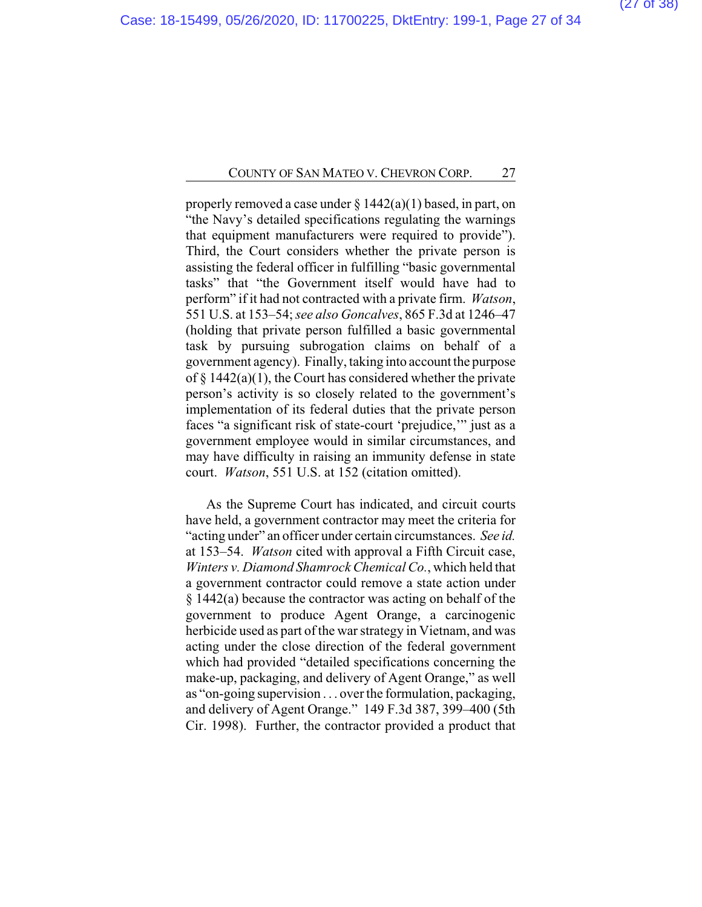properly removed a case under  $\S 1442(a)(1)$  based, in part, on "the Navy's detailed specifications regulating the warnings that equipment manufacturers were required to provide"). Third, the Court considers whether the private person is assisting the federal officer in fulfilling "basic governmental tasks" that "the Government itself would have had to perform" if it had not contracted with a private firm. *Watson*, 551 U.S. at 153–54; *see also Goncalves*, 865 F.3d at 1246–47 (holding that private person fulfilled a basic governmental task by pursuing subrogation claims on behalf of a government agency). Finally, taking into account the purpose of  $\S$  1442(a)(1), the Court has considered whether the private person's activity is so closely related to the government's implementation of its federal duties that the private person faces "a significant risk of state-court 'prejudice,'" just as a government employee would in similar circumstances, and may have difficulty in raising an immunity defense in state court. *Watson*, 551 U.S. at 152 (citation omitted).

As the Supreme Court has indicated, and circuit courts have held, a government contractor may meet the criteria for "acting under" an officer under certain circumstances. *See id.* at 153–54. *Watson* cited with approval a Fifth Circuit case, *Winters v. Diamond Shamrock Chemical Co.*, which held that a government contractor could remove a state action under § 1442(a) because the contractor was acting on behalf of the government to produce Agent Orange, a carcinogenic herbicide used as part of the war strategy in Vietnam, and was acting under the close direction of the federal government which had provided "detailed specifications concerning the make-up, packaging, and delivery of Agent Orange," as well as "on-going supervision . . . over the formulation, packaging, and delivery of Agent Orange." 149 F.3d 387, 399–400 (5th Cir. 1998). Further, the contractor provided a product that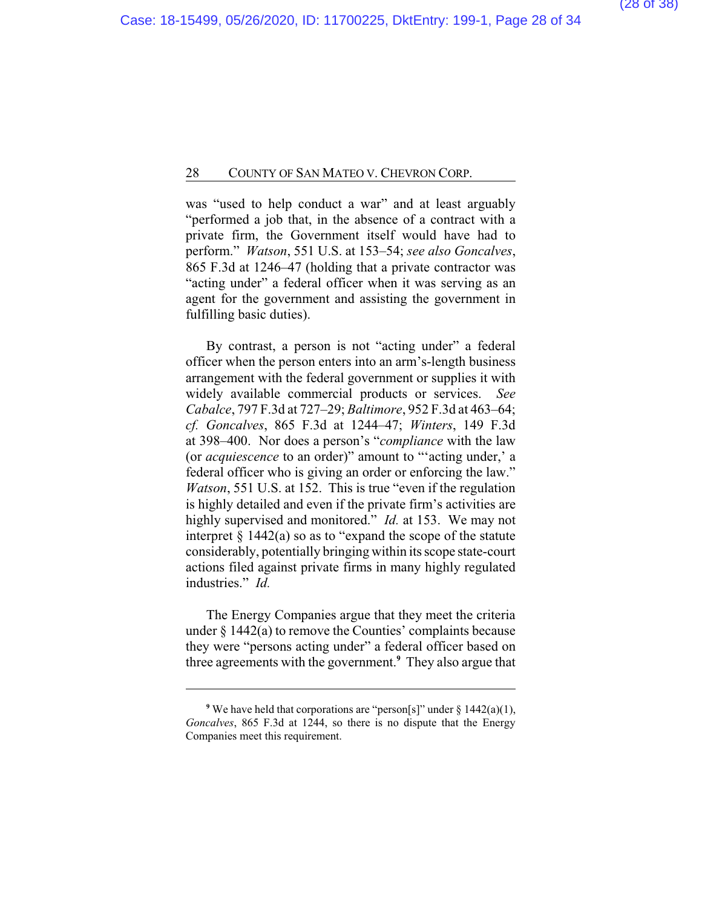was "used to help conduct a war" and at least arguably "performed a job that, in the absence of a contract with a private firm, the Government itself would have had to perform." *Watson*, 551 U.S. at 153–54; *see also Goncalves*, 865 F.3d at 1246–47 (holding that a private contractor was "acting under" a federal officer when it was serving as an agent for the government and assisting the government in fulfilling basic duties).

By contrast, a person is not "acting under" a federal officer when the person enters into an arm's-length business arrangement with the federal government or supplies it with widely available commercial products or services. *See Cabalce*, 797 F.3d at 727–29; *Baltimore*, 952 F.3d at 463–64; *cf. Goncalves*, 865 F.3d at 1244–47; *Winters*, 149 F.3d at 398–400. Nor does a person's "*compliance* with the law (or *acquiescence* to an order)" amount to "'acting under,' a federal officer who is giving an order or enforcing the law." *Watson*, 551 U.S. at 152. This is true "even if the regulation is highly detailed and even if the private firm's activities are highly supervised and monitored." *Id.* at 153. We may not interpret  $\S 1442(a)$  so as to "expand the scope of the statute considerably, potentially bringing within its scope state-court actions filed against private firms in many highly regulated industries." *Id.*

The Energy Companies argue that they meet the criteria under § 1442(a) to remove the Counties' complaints because they were "persons acting under" a federal officer based on three agreements with the government.**<sup>9</sup>** They also argue that

<sup>&</sup>lt;sup>9</sup> We have held that corporations are "person[s]" under  $\S$  1442(a)(1), *Goncalves*, 865 F.3d at 1244, so there is no dispute that the Energy Companies meet this requirement.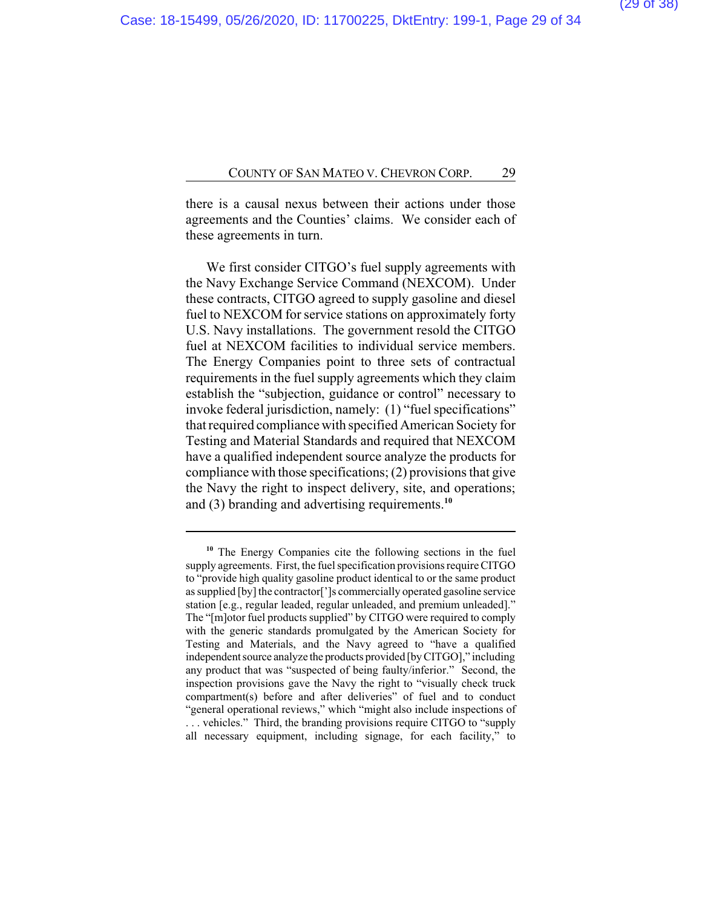there is a causal nexus between their actions under those agreements and the Counties' claims. We consider each of these agreements in turn.

We first consider CITGO's fuel supply agreements with the Navy Exchange Service Command (NEXCOM). Under these contracts, CITGO agreed to supply gasoline and diesel fuel to NEXCOM for service stations on approximately forty U.S. Navy installations. The government resold the CITGO fuel at NEXCOM facilities to individual service members. The Energy Companies point to three sets of contractual requirements in the fuel supply agreements which they claim establish the "subjection, guidance or control" necessary to invoke federal jurisdiction, namely: (1) "fuel specifications" that required compliance with specified American Society for Testing and Material Standards and required that NEXCOM have a qualified independent source analyze the products for compliance with those specifications; (2) provisions that give the Navy the right to inspect delivery, site, and operations; and (3) branding and advertising requirements.**<sup>10</sup>**

**<sup>10</sup>** The Energy Companies cite the following sections in the fuel supply agreements. First, the fuel specification provisions require CITGO to "provide high quality gasoline product identical to or the same product as supplied [by] the contractor[']s commercially operated gasoline service station [e.g., regular leaded, regular unleaded, and premium unleaded]." The "[m]otor fuel products supplied" by CITGO were required to comply with the generic standards promulgated by the American Society for Testing and Materials, and the Navy agreed to "have a qualified independent source analyze the products provided [by CITGO]," including any product that was "suspected of being faulty/inferior." Second, the inspection provisions gave the Navy the right to "visually check truck compartment(s) before and after deliveries" of fuel and to conduct "general operational reviews," which "might also include inspections of . . . vehicles." Third, the branding provisions require CITGO to "supply all necessary equipment, including signage, for each facility," to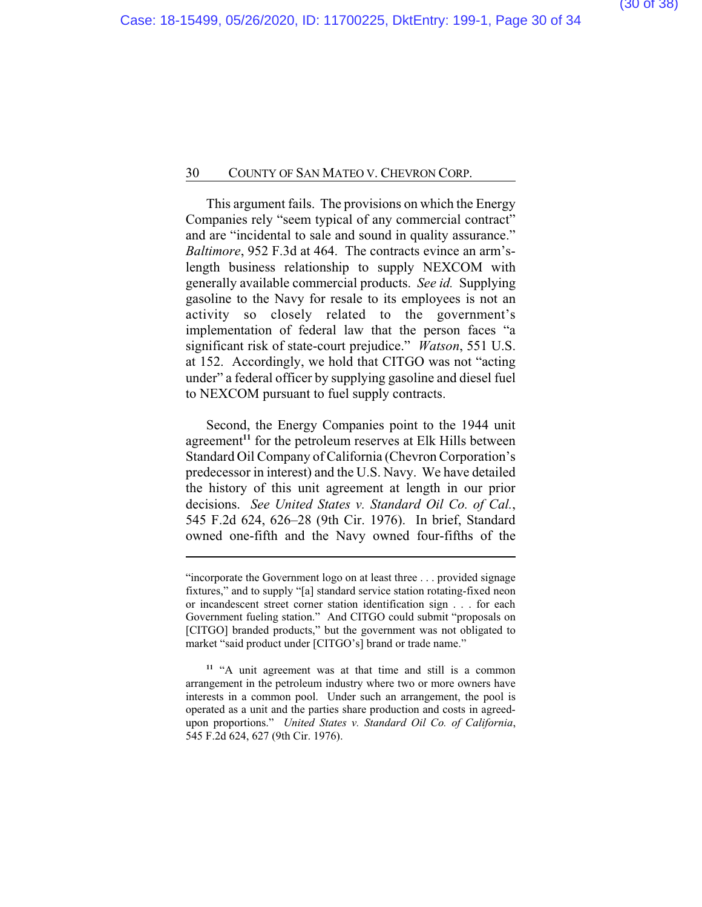This argument fails. The provisions on which the Energy Companies rely "seem typical of any commercial contract" and are "incidental to sale and sound in quality assurance." *Baltimore*, 952 F.3d at 464. The contracts evince an arm'slength business relationship to supply NEXCOM with generally available commercial products. *See id.* Supplying gasoline to the Navy for resale to its employees is not an activity so closely related to the government's implementation of federal law that the person faces "a significant risk of state-court prejudice." *Watson*, 551 U.S. at 152. Accordingly, we hold that CITGO was not "acting under" a federal officer by supplying gasoline and diesel fuel to NEXCOM pursuant to fuel supply contracts.

Second, the Energy Companies point to the 1944 unit agreement**<sup>11</sup>** for the petroleum reserves at Elk Hills between Standard Oil Company of California (Chevron Corporation's predecessor in interest) and the U.S. Navy. We have detailed the history of this unit agreement at length in our prior decisions. *See United States v. Standard Oil Co. of Cal.*, 545 F.2d 624, 626–28 (9th Cir. 1976). In brief, Standard owned one-fifth and the Navy owned four-fifths of the

<sup>&</sup>quot;incorporate the Government logo on at least three . . . provided signage fixtures," and to supply "[a] standard service station rotating-fixed neon or incandescent street corner station identification sign . . . for each Government fueling station." And CITGO could submit "proposals on [CITGO] branded products," but the government was not obligated to market "said product under [CITGO's] brand or trade name."

**<sup>11</sup>** "A unit agreement was at that time and still is a common arrangement in the petroleum industry where two or more owners have interests in a common pool. Under such an arrangement, the pool is operated as a unit and the parties share production and costs in agreedupon proportions." *United States v. Standard Oil Co. of California*, 545 F.2d 624, 627 (9th Cir. 1976).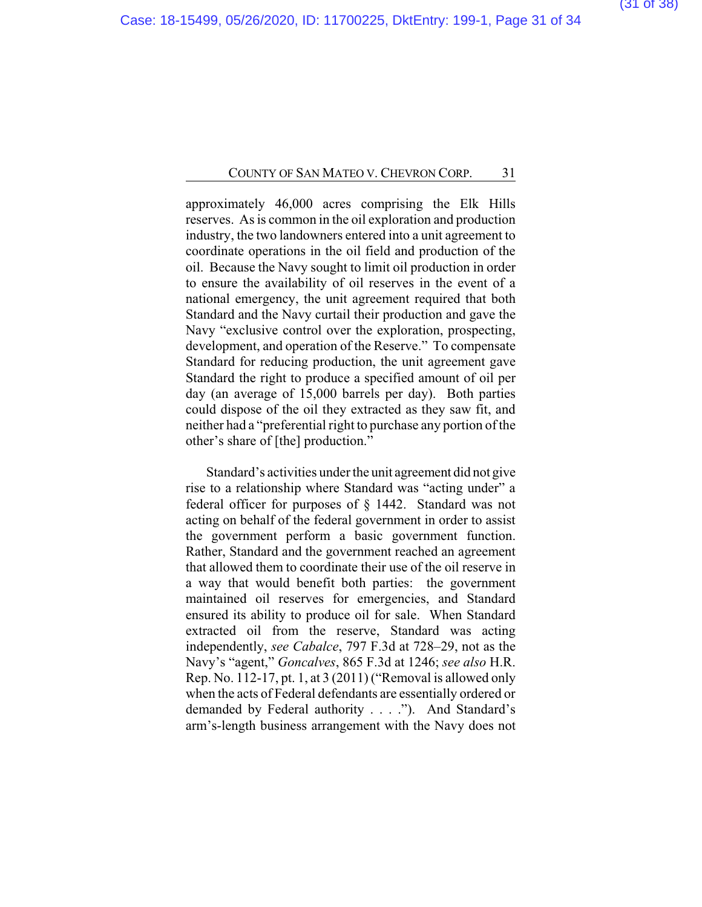approximately 46,000 acres comprising the Elk Hills reserves. As is common in the oil exploration and production industry, the two landowners entered into a unit agreement to coordinate operations in the oil field and production of the oil. Because the Navy sought to limit oil production in order to ensure the availability of oil reserves in the event of a national emergency, the unit agreement required that both Standard and the Navy curtail their production and gave the Navy "exclusive control over the exploration, prospecting, development, and operation of the Reserve." To compensate Standard for reducing production, the unit agreement gave Standard the right to produce a specified amount of oil per day (an average of 15,000 barrels per day). Both parties could dispose of the oil they extracted as they saw fit, and neither had a "preferential right to purchase any portion of the other's share of [the] production."

Standard's activities under the unit agreement did not give rise to a relationship where Standard was "acting under" a federal officer for purposes of § 1442. Standard was not acting on behalf of the federal government in order to assist the government perform a basic government function. Rather, Standard and the government reached an agreement that allowed them to coordinate their use of the oil reserve in a way that would benefit both parties: the government maintained oil reserves for emergencies, and Standard ensured its ability to produce oil for sale. When Standard extracted oil from the reserve, Standard was acting independently, *see Cabalce*, 797 F.3d at 728–29, not as the Navy's "agent," *Goncalves*, 865 F.3d at 1246; *see also* H.R. Rep. No. 112-17, pt. 1, at 3 (2011) ("Removal is allowed only when the acts of Federal defendants are essentially ordered or demanded by Federal authority . . . ."). And Standard's arm's-length business arrangement with the Navy does not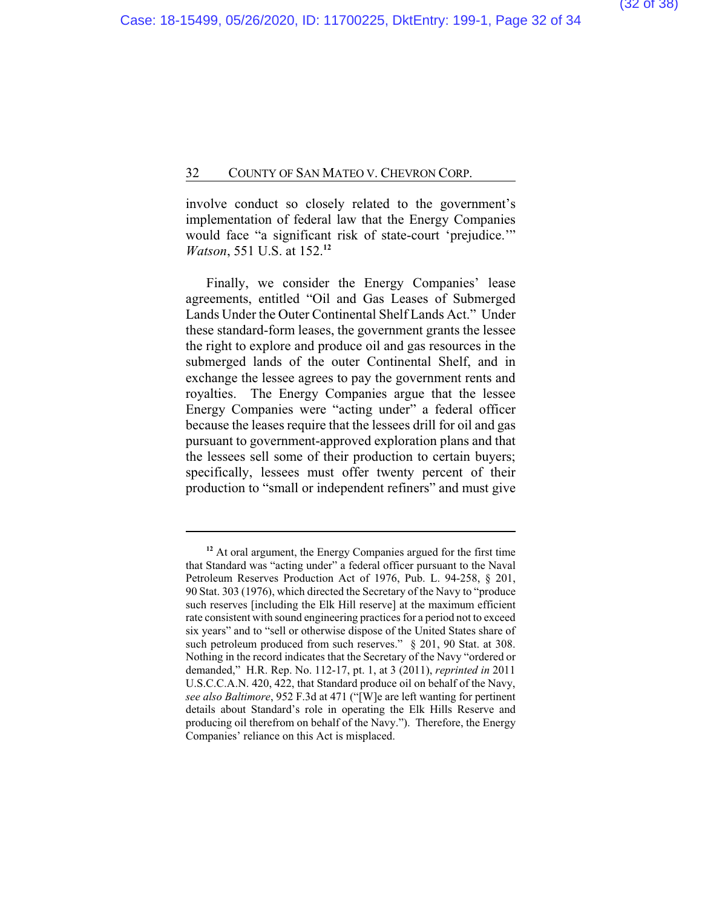involve conduct so closely related to the government's implementation of federal law that the Energy Companies would face "a significant risk of state-court 'prejudice.'" *Watson*, 551 U.S. at 152.**<sup>12</sup>**

Finally, we consider the Energy Companies' lease agreements, entitled "Oil and Gas Leases of Submerged Lands Under the Outer Continental Shelf Lands Act." Under these standard-form leases, the government grants the lessee the right to explore and produce oil and gas resources in the submerged lands of the outer Continental Shelf, and in exchange the lessee agrees to pay the government rents and royalties. The Energy Companies argue that the lessee Energy Companies were "acting under" a federal officer because the leases require that the lessees drill for oil and gas pursuant to government-approved exploration plans and that the lessees sell some of their production to certain buyers; specifically, lessees must offer twenty percent of their production to "small or independent refiners" and must give

**<sup>12</sup>** At oral argument, the Energy Companies argued for the first time that Standard was "acting under" a federal officer pursuant to the Naval Petroleum Reserves Production Act of 1976, Pub. L. 94-258, § 201, 90 Stat. 303 (1976), which directed the Secretary of the Navy to "produce such reserves [including the Elk Hill reserve] at the maximum efficient rate consistent with sound engineering practices for a period not to exceed six years" and to "sell or otherwise dispose of the United States share of such petroleum produced from such reserves." § 201, 90 Stat. at 308. Nothing in the record indicates that the Secretary of the Navy "ordered or demanded," H.R. Rep. No. 112-17, pt. 1, at 3 (2011), *reprinted in* 2011 U.S.C.C.A.N. 420, 422, that Standard produce oil on behalf of the Navy, *see also Baltimore*, 952 F.3d at 471 ("[W]e are left wanting for pertinent details about Standard's role in operating the Elk Hills Reserve and producing oil therefrom on behalf of the Navy."). Therefore, the Energy Companies' reliance on this Act is misplaced.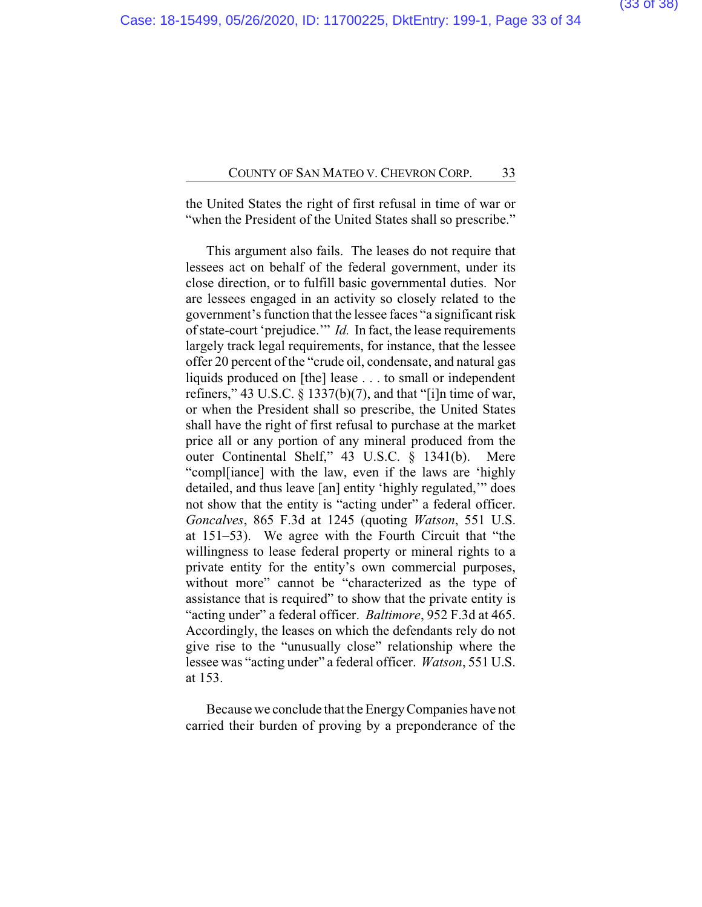the United States the right of first refusal in time of war or "when the President of the United States shall so prescribe."

This argument also fails. The leases do not require that lessees act on behalf of the federal government, under its close direction, or to fulfill basic governmental duties. Nor are lessees engaged in an activity so closely related to the government's function that the lessee faces "a significant risk of state-court 'prejudice.'" *Id.* In fact, the lease requirements largely track legal requirements, for instance, that the lessee offer 20 percent of the "crude oil, condensate, and natural gas liquids produced on [the] lease . . . to small or independent refiners," 43 U.S.C. § 1337(b)(7), and that "[i]n time of war, or when the President shall so prescribe, the United States shall have the right of first refusal to purchase at the market price all or any portion of any mineral produced from the outer Continental Shelf," 43 U.S.C. § 1341(b). Mere "compl[iance] with the law, even if the laws are 'highly detailed, and thus leave [an] entity 'highly regulated,'" does not show that the entity is "acting under" a federal officer. *Goncalves*, 865 F.3d at 1245 (quoting *Watson*, 551 U.S. at 151–53). We agree with the Fourth Circuit that "the willingness to lease federal property or mineral rights to a private entity for the entity's own commercial purposes, without more" cannot be "characterized as the type of assistance that is required" to show that the private entity is "acting under" a federal officer. *Baltimore*, 952 F.3d at 465. Accordingly, the leases on which the defendants rely do not give rise to the "unusually close" relationship where the lessee was "acting under" a federal officer. *Watson*, 551 U.S. at 153.

Because we conclude that the EnergyCompanies have not carried their burden of proving by a preponderance of the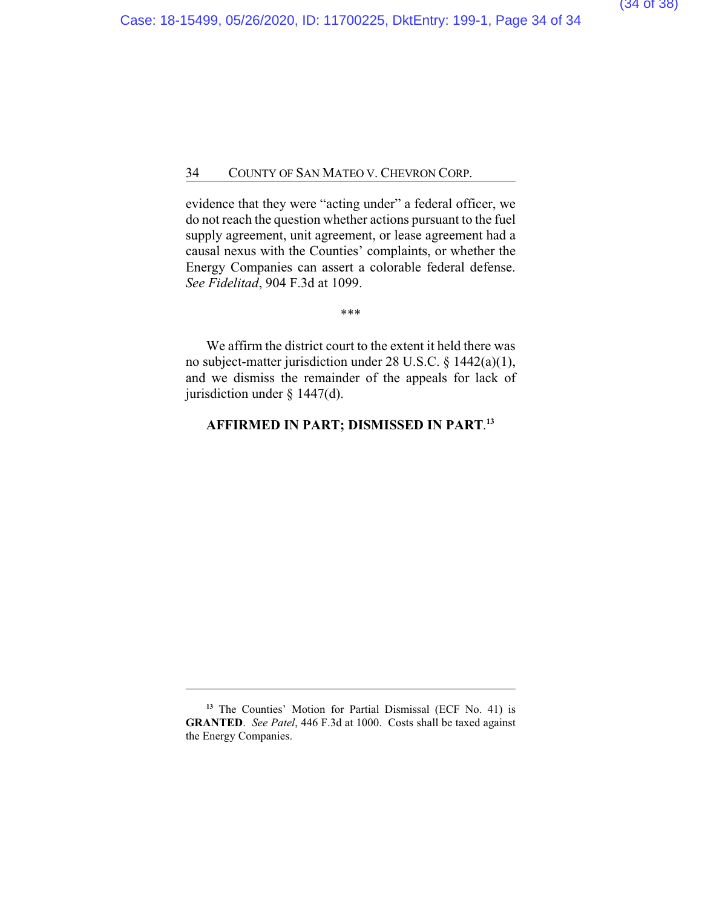evidence that they were "acting under" a federal officer, we do not reach the question whether actions pursuant to the fuel supply agreement, unit agreement, or lease agreement had a causal nexus with the Counties' complaints, or whether the Energy Companies can assert a colorable federal defense. *See Fidelitad*, 904 F.3d at 1099.

\*\*\*

We affirm the district court to the extent it held there was no subject-matter jurisdiction under 28 U.S.C. § 1442(a)(1), and we dismiss the remainder of the appeals for lack of jurisdiction under § 1447(d).

### **AFFIRMED IN PART; DISMISSED IN PART**. **13**

**<sup>13</sup>** The Counties' Motion for Partial Dismissal (ECF No. 41) is **GRANTED**. *See Patel*, 446 F.3d at 1000. Costs shall be taxed against the Energy Companies.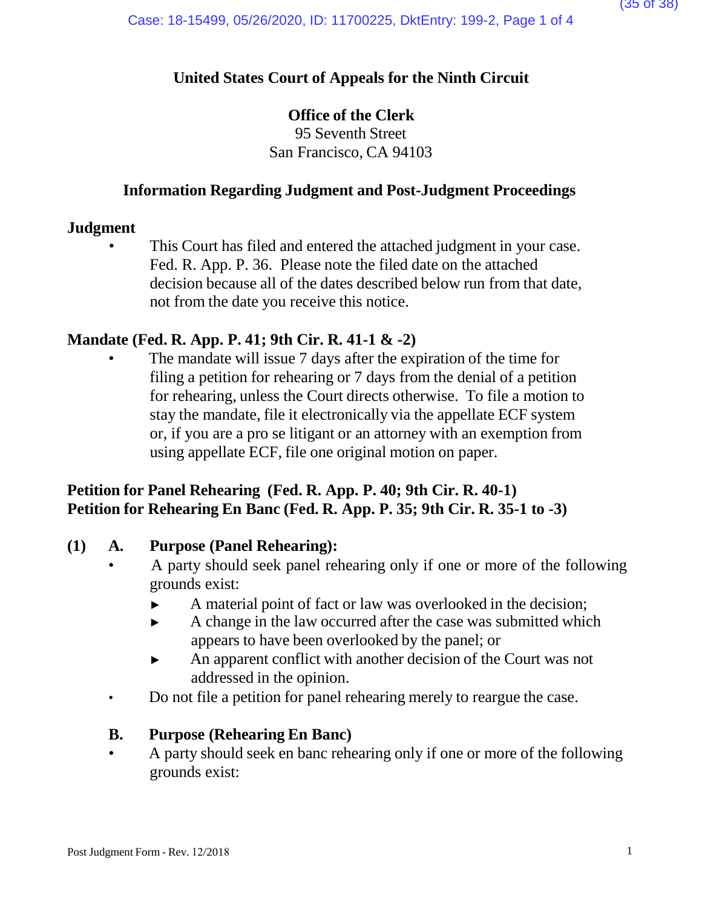# **United States Court of Appeals for the Ninth Circuit**

# **Office of the Clerk**

95 Seventh Street San Francisco, CA 94103

# **Information Regarding Judgment and Post-Judgment Proceedings**

## **Judgment**

This Court has filed and entered the attached judgment in your case. Fed. R. App. P. 36. Please note the filed date on the attached decision because all of the dates described below run from that date, not from the date you receive this notice.

# **Mandate (Fed. R. App. P. 41; 9th Cir. R. 41-1 & -2)**

The mandate will issue 7 days after the expiration of the time for filing a petition for rehearing or 7 days from the denial of a petition for rehearing, unless the Court directs otherwise. To file a motion to stay the mandate, file it electronically via the appellate ECF system or, if you are a pro se litigant or an attorney with an exemption from using appellate ECF, file one original motion on paper.

# **Petition for Panel Rehearing (Fed. R. App. P. 40; 9th Cir. R. 40-1) Petition for Rehearing En Banc (Fed. R. App. P. 35; 9th Cir. R. 35-1 to -3)**

# **(1) A. Purpose (Panel Rehearing):**

- A party should seek panel rehearing only if one or more of the following grounds exist:
	- ► A material point of fact or law was overlooked in the decision;
	- ► A change in the law occurred after the case was submitted which appears to have been overlooked by the panel; or
	- ► An apparent conflict with another decision of the Court was not addressed in the opinion.
- Do not file a petition for panel rehearing merely to reargue the case.

# **B. Purpose (Rehearing En Banc)**

• A party should seek en banc rehearing only if one or more of the following grounds exist: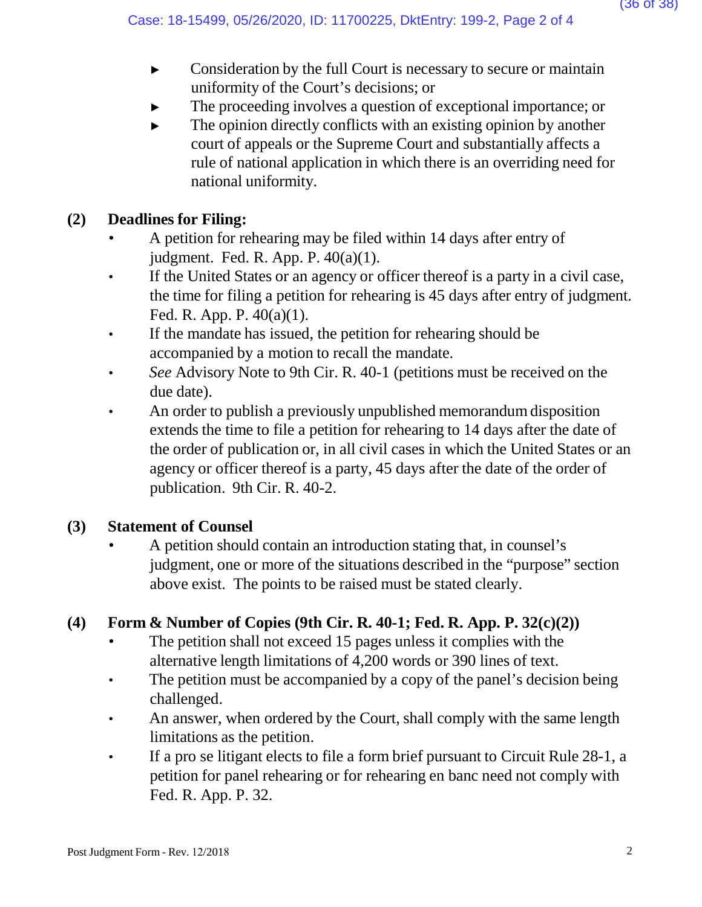- ► Consideration by the full Court is necessary to secure or maintain uniformity of the Court's decisions; or
- The proceeding involves a question of exceptional importance; or
- $\blacktriangleright$  The opinion directly conflicts with an existing opinion by another court of appeals or the Supreme Court and substantially affects a rule of national application in which there is an overriding need for national uniformity.

# **(2) Deadlines for Filing:**

- A petition for rehearing may be filed within 14 days after entry of judgment. Fed. R. App. P. 40(a)(1).
- If the United States or an agency or officer thereof is a party in a civil case, the time for filing a petition for rehearing is 45 days after entry of judgment. Fed. R. App. P. 40(a)(1).
- If the mandate has issued, the petition for rehearing should be accompanied by a motion to recall the mandate.
- *See* Advisory Note to 9th Cir. R. 40-1 (petitions must be received on the due date).
- An order to publish a previously unpublished memorandum disposition extends the time to file a petition for rehearing to 14 days after the date of the order of publication or, in all civil cases in which the United States or an agency or officer thereof is a party, 45 days after the date of the order of publication. 9th Cir. R. 40-2.

# **(3) Statement of Counsel**

• A petition should contain an introduction stating that, in counsel's judgment, one or more of the situations described in the "purpose" section above exist. The points to be raised must be stated clearly.

# **(4) Form & Number of Copies (9th Cir. R. 40-1; Fed. R. App. P. 32(c)(2))**

- The petition shall not exceed 15 pages unless it complies with the alternative length limitations of 4,200 words or 390 lines of text.
- The petition must be accompanied by a copy of the panel's decision being challenged.
- An answer, when ordered by the Court, shall comply with the same length limitations as the petition.
- If a pro se litigant elects to file a form brief pursuant to Circuit Rule 28-1, a petition for panel rehearing or for rehearing en banc need not comply with Fed. R. App. P. 32.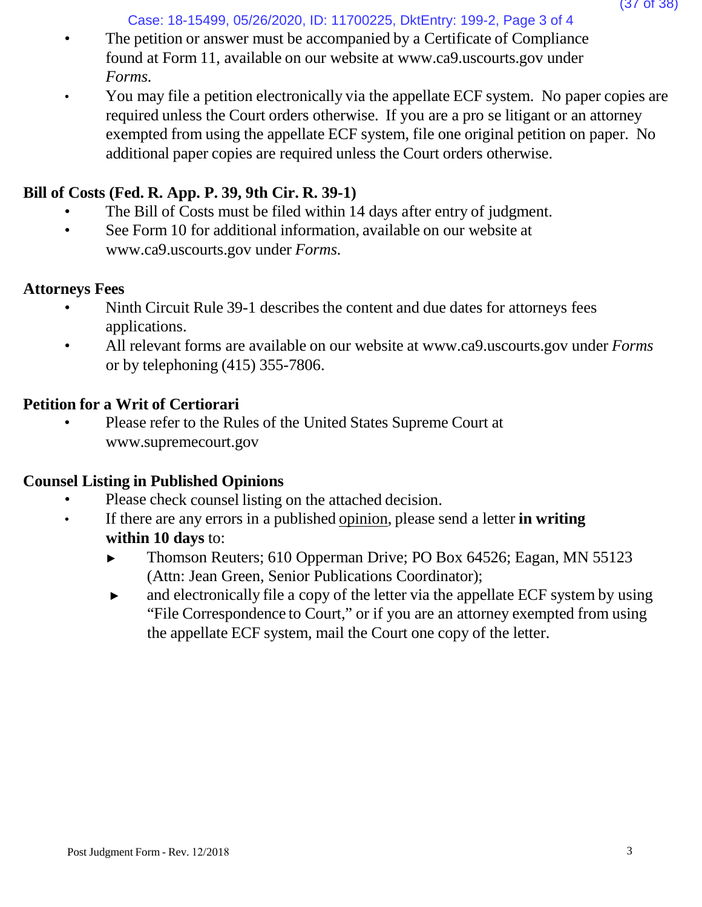Case: 18-15499, 05/26/2020, ID: 11700225, DktEntry: 199-2, Page 3 of 4

- The petition or answer must be accompanied by a Certificate of Compliance found at Form 11, available on our website [at www.ca9.uscourts.gov](http://www.ca9.uscourts.gov/) under *Forms.*
- You may file a petition electronically via the appellate ECF system. No paper copies are required unless the Court orders otherwise. If you are a pro se litigant or an attorney exempted from using the appellate ECF system, file one original petition on paper. No additional paper copies are required unless the Court orders otherwise.

## **Bill of Costs (Fed. R. App. P. 39, 9th Cir. R. 39-1)**

- The Bill of Costs must be filed within 14 days after entry of judgment.
- See Form 10 for addi[t](http://www.ca9.uscourts.gov/)ional information, available on our website at [www.ca9.uscourts.gov](http://www.ca9.uscourts.gov/) under *Forms.*

## **Attorneys Fees**

- Ninth Circuit Rule 39-1 describes the content and due dates for attorneys fees applications.
- All relevant forms are available on our website at [www.ca9.uscourts.gov](http://www.ca9.uscourts.gov/) under *Forms* or by telephoning (415) 355-7806.

## **Petition for a Writ of Certiorari**

• Please refer to the Rules of the United States Supreme Court a[t](http://www.supremecourt.gov/) [www.supremecourt.gov](http://www.supremecourt.gov/)

## **Counsel Listing in Published Opinions**

- Please check counsel listing on the attached decision.
- If there are any errors in a published opinion, please send a letter **in writing within 10 days** to:
	- ► Thomson Reuters; 610 Opperman Drive; PO Box 64526; Eagan, MN 55123 (Attn: Jean Green, Senior Publications Coordinator);
	- ► and electronically file a copy of the letter via the appellate ECF system by using "File Correspondence to Court," or if you are an attorney exempted from using the appellate ECF system, mail the Court one copy of the letter.